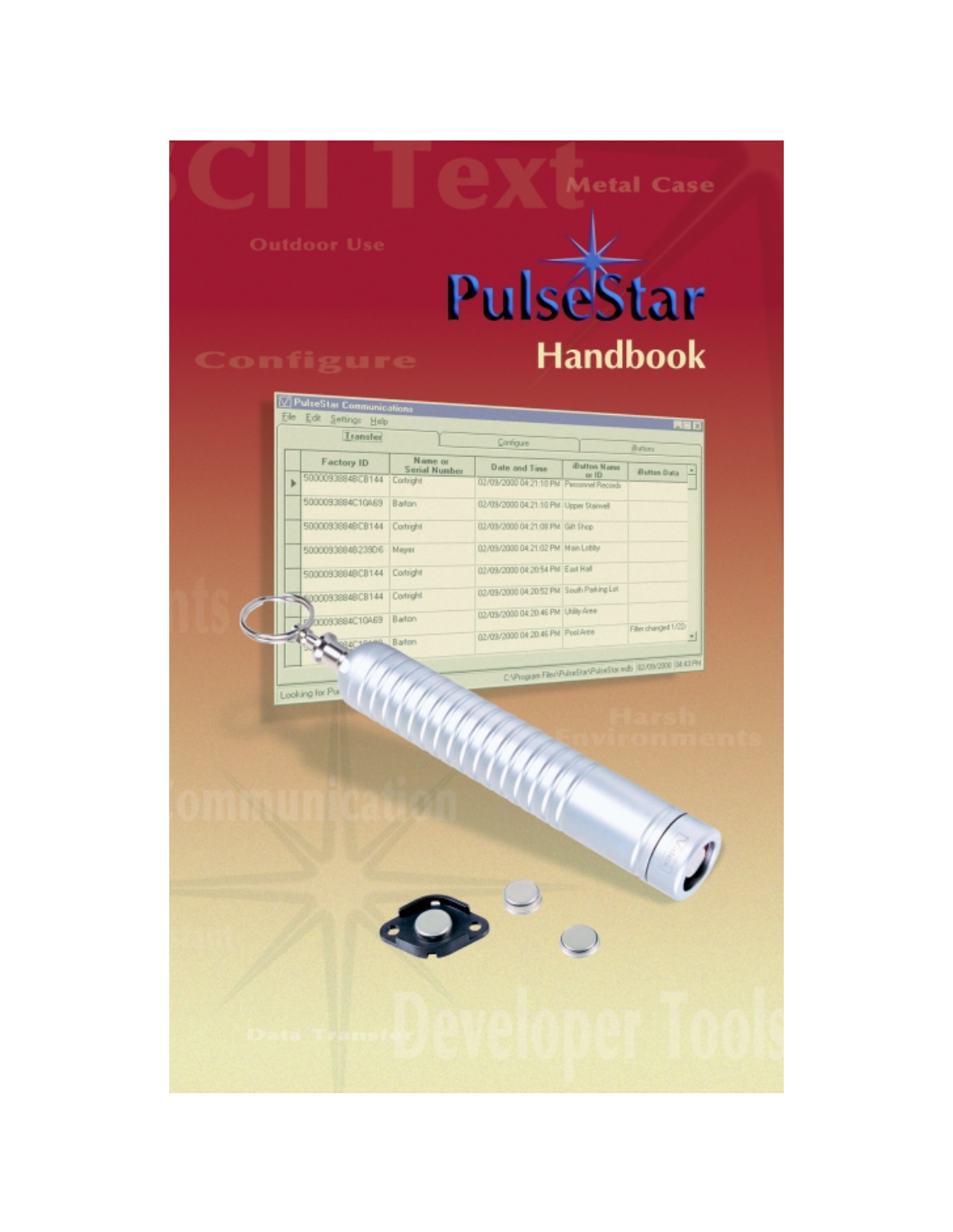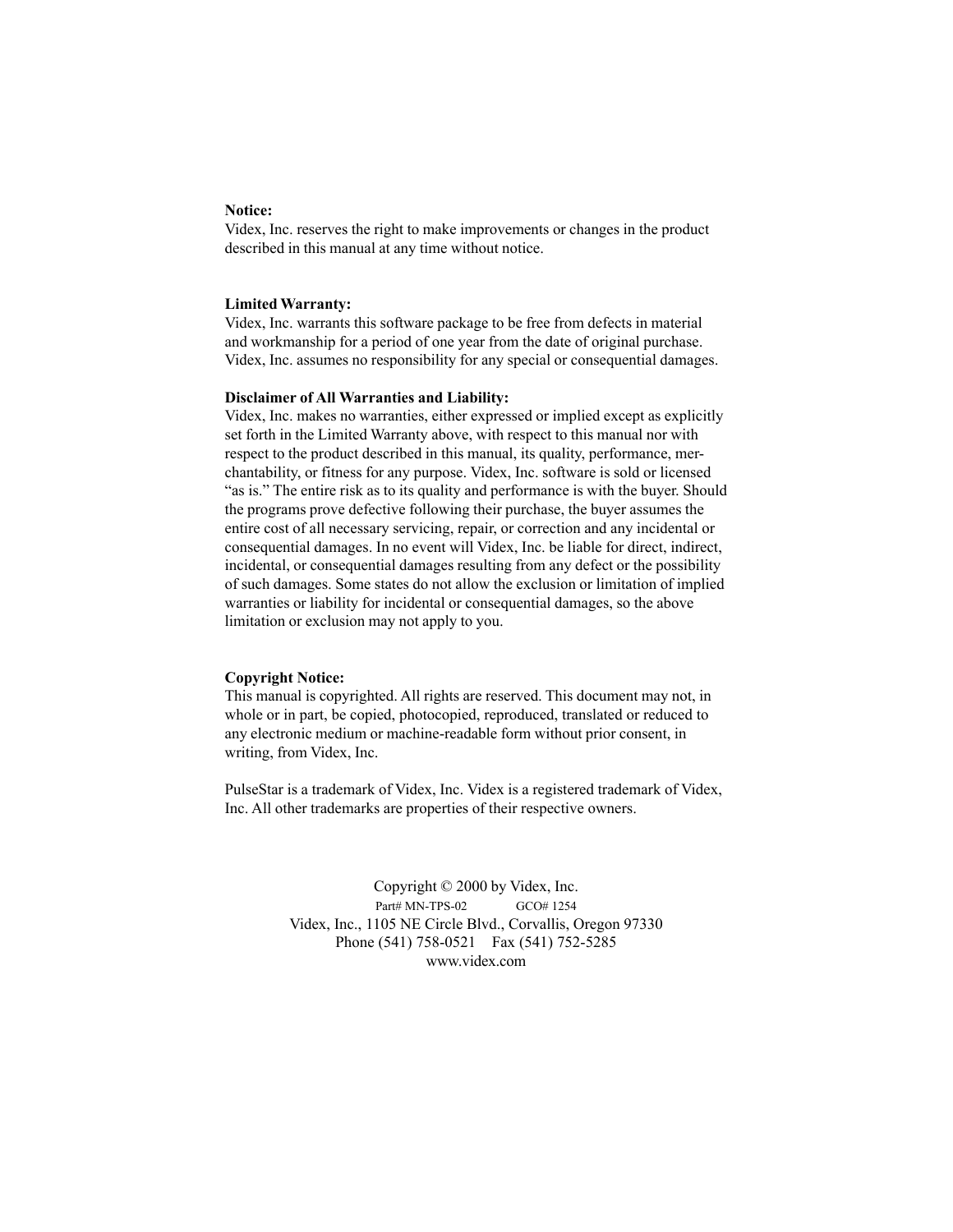#### **Notice:**

Videx, Inc. reserves the right to make improvements or changes in the product described in this manual at any time without notice.

#### **Limited Warranty:**

Videx, Inc. warrants this software package to be free from defects in material and workmanship for a period of one year from the date of original purchase. Videx, Inc. assumes no responsibility for any special or consequential damages.

#### **Disclaimer of All Warranties and Liability:**

Videx, Inc. makes no warranties, either expressed or implied except as explicitly set forth in the Limited Warranty above, with respect to this manual nor with respect to the product described in this manual, its quality, performance, merchantability, or fitness for any purpose. Videx, Inc. software is sold or licensed "as is." The entire risk as to its quality and performance is with the buyer. Should the programs prove defective following their purchase, the buyer assumes the entire cost of all necessary servicing, repair, or correction and any incidental or consequential damages. In no event will Videx, Inc. be liable for direct, indirect, incidental, or consequential damages resulting from any defect or the possibility of such damages. Some states do not allow the exclusion or limitation of implied warranties or liability for incidental or consequential damages, so the above limitation or exclusion may not apply to you.

#### **Copyright Notice:**

This manual is copyrighted. All rights are reserved. This document may not, in whole or in part, be copied, photocopied, reproduced, translated or reduced to any electronic medium or machine-readable form without prior consent, in writing, from Videx, Inc.

PulseStar is a trademark of Videx, Inc. Videx is a registered trademark of Videx, Inc. All other trademarks are properties of their respective owners.

> Copyright © 2000 by Videx, Inc. Part# MN-TPS-02 GCO# 1254 Videx, Inc., 1105 NE Circle Blvd., Corvallis, Oregon 97330 Phone (541) 758-0521 Fax (541) 752-5285 www.videx.com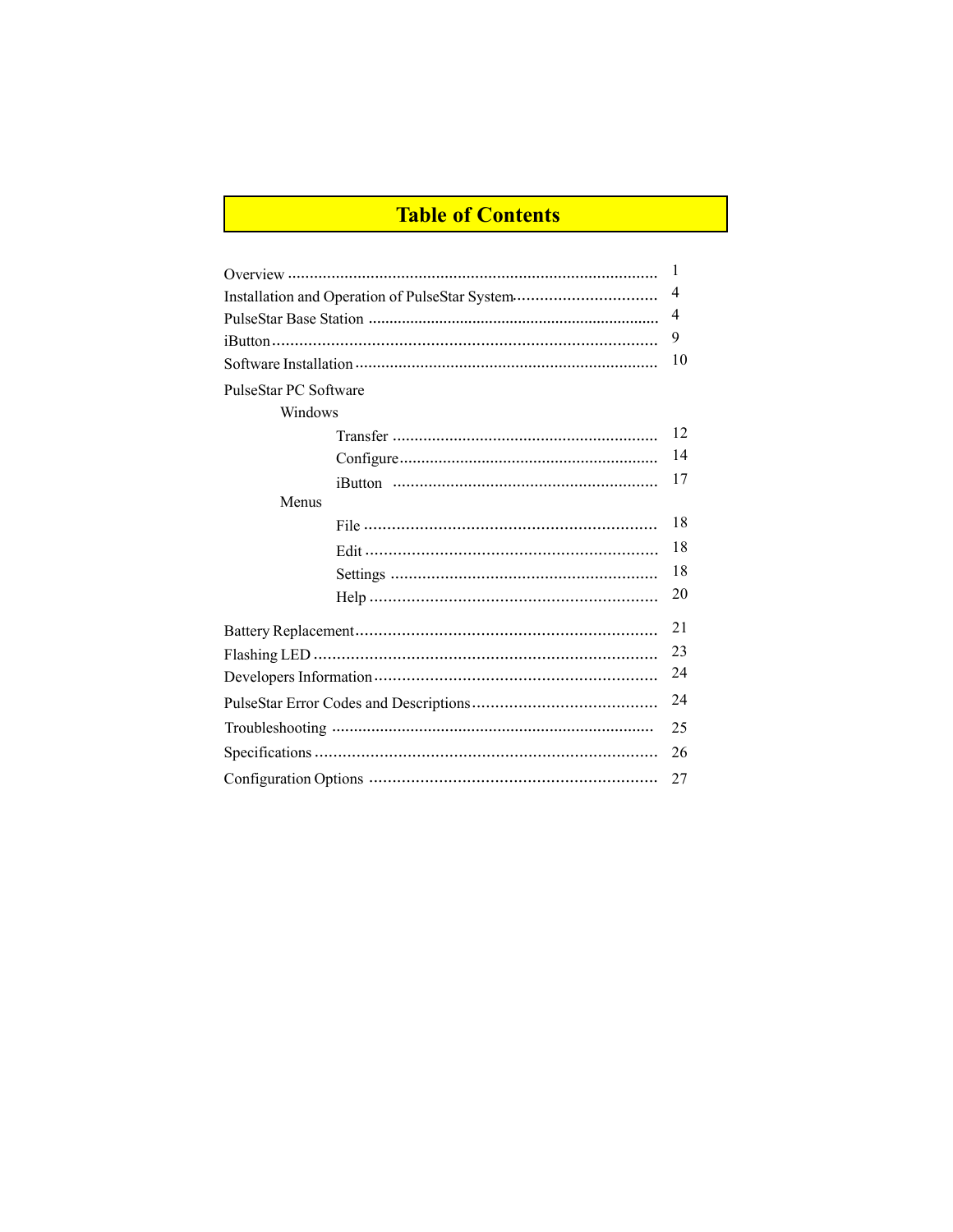# **Table of Contents**

|                                                | 1  |  |
|------------------------------------------------|----|--|
| Installation and Operation of PulseStar System |    |  |
|                                                | 4  |  |
|                                                | 9  |  |
|                                                |    |  |
| PulseStar PC Software                          |    |  |
| Windows                                        |    |  |
|                                                | 12 |  |
|                                                | 14 |  |
|                                                | 17 |  |
| Menus                                          |    |  |
|                                                | 18 |  |
|                                                | 18 |  |
|                                                | 18 |  |
|                                                | 20 |  |
|                                                | 21 |  |
|                                                |    |  |
|                                                |    |  |
|                                                | 24 |  |
|                                                | 25 |  |
|                                                |    |  |
| 27                                             |    |  |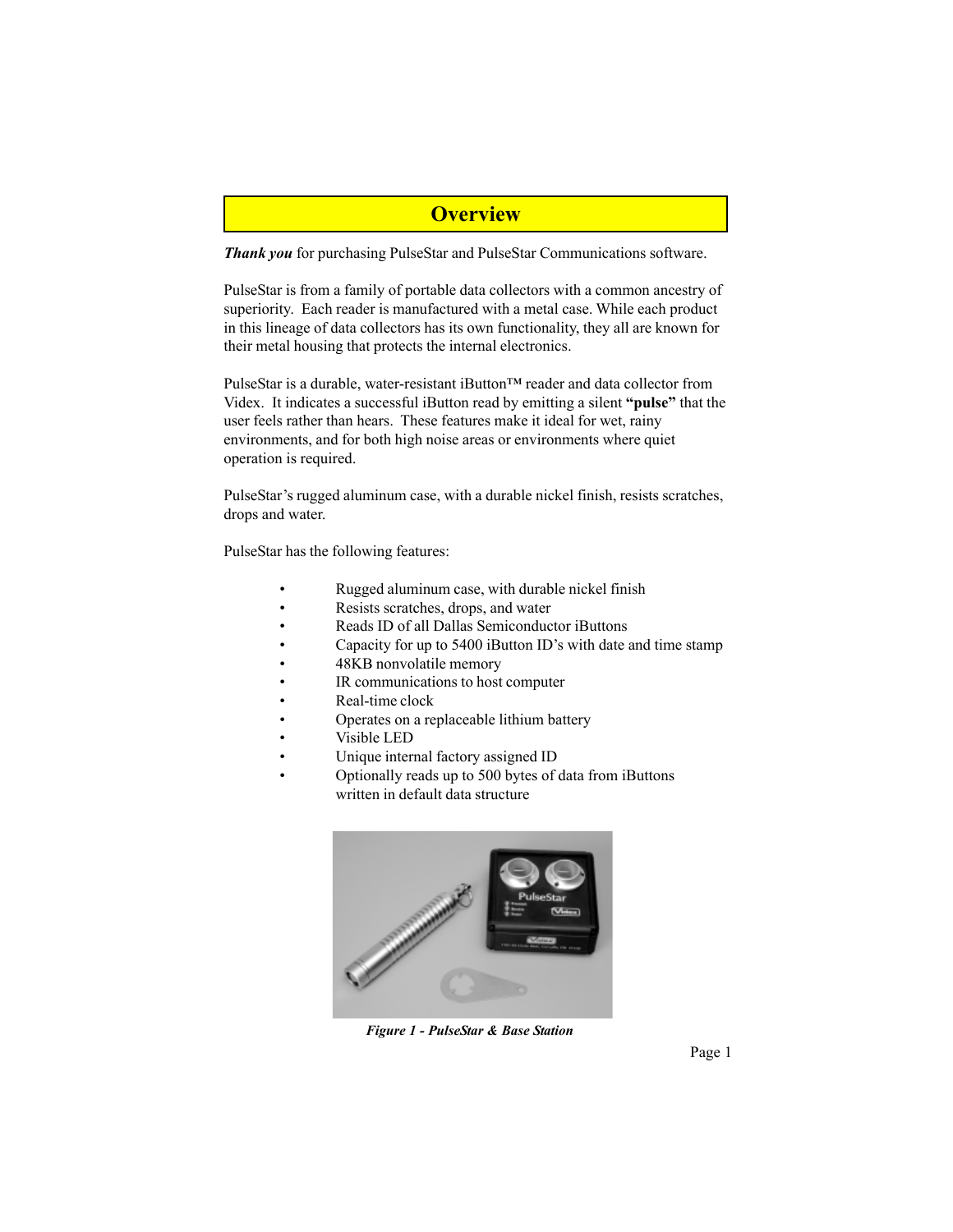### **Overview**

*Thank you* for purchasing PulseStar and PulseStar Communications software.

PulseStar is from a family of portable data collectors with a common ancestry of superiority. Each reader is manufactured with a metal case. While each product in this lineage of data collectors has its own functionality, they all are known for their metal housing that protects the internal electronics.

PulseStar is a durable, water-resistant iButton™ reader and data collector from Videx. It indicates a successful iButton read by emitting a silent **"pulse"** that the user feels rather than hears. These features make it ideal for wet, rainy environments, and for both high noise areas or environments where quiet operation is required.

PulseStar's rugged aluminum case, with a durable nickel finish, resists scratches, drops and water.

PulseStar has the following features:

- Rugged aluminum case, with durable nickel finish
- Resists scratches, drops, and water
- Reads ID of all Dallas Semiconductor iButtons
- Capacity for up to 5400 iButton ID's with date and time stamp
- 48KB nonvolatile memory
- IR communications to host computer
- Real-time clock
- Operates on a replaceable lithium battery
- Visible LED
- Unique internal factory assigned ID
- Optionally reads up to 500 bytes of data from iButtons written in default data structure



*Figure 1 - PulseStar & Base Station*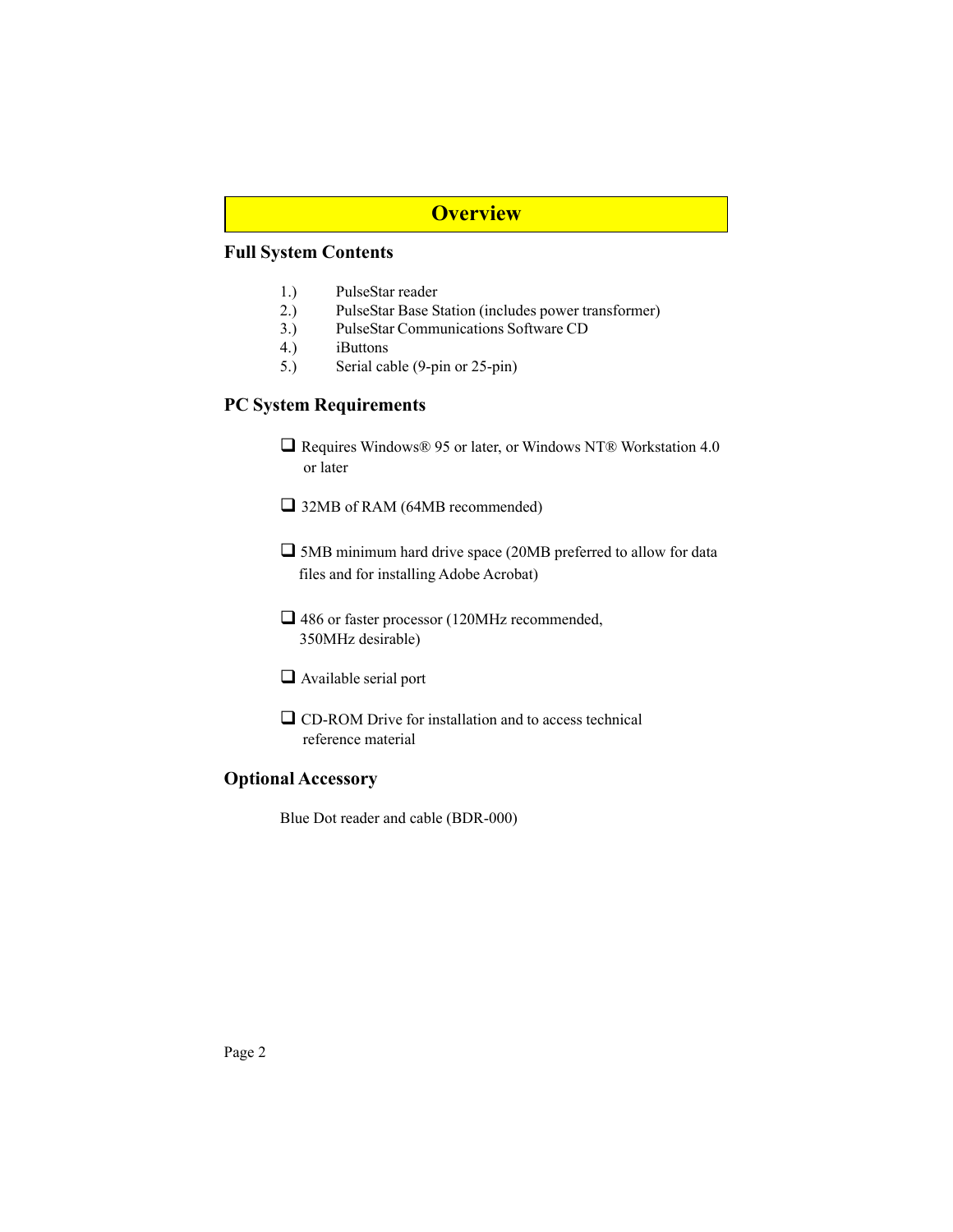## **Overview**

### **Full System Contents**

- 1.) PulseStar reader
- 2.) PulseStar Base Station (includes power transformer)
- 3.) PulseStar Communications Software CD
- 4.) iButtons
- 5.) Serial cable (9-pin or 25-pin)

### **PC System Requirements**

■ Requires Windows® 95 or later, or Windows NT® Workstation 4.0 or later

■ 32MB of RAM (64MB recommended)

- 5MB minimum hard drive space (20MB preferred to allow for data files and for installing Adobe Acrobat)
- □ 486 or faster processor (120MHz recommended, 350MHz desirable)
- Available serial port
- CD-ROM Drive for installation and to access technical reference material

### **Optional Accessory**

Blue Dot reader and cable (BDR-000)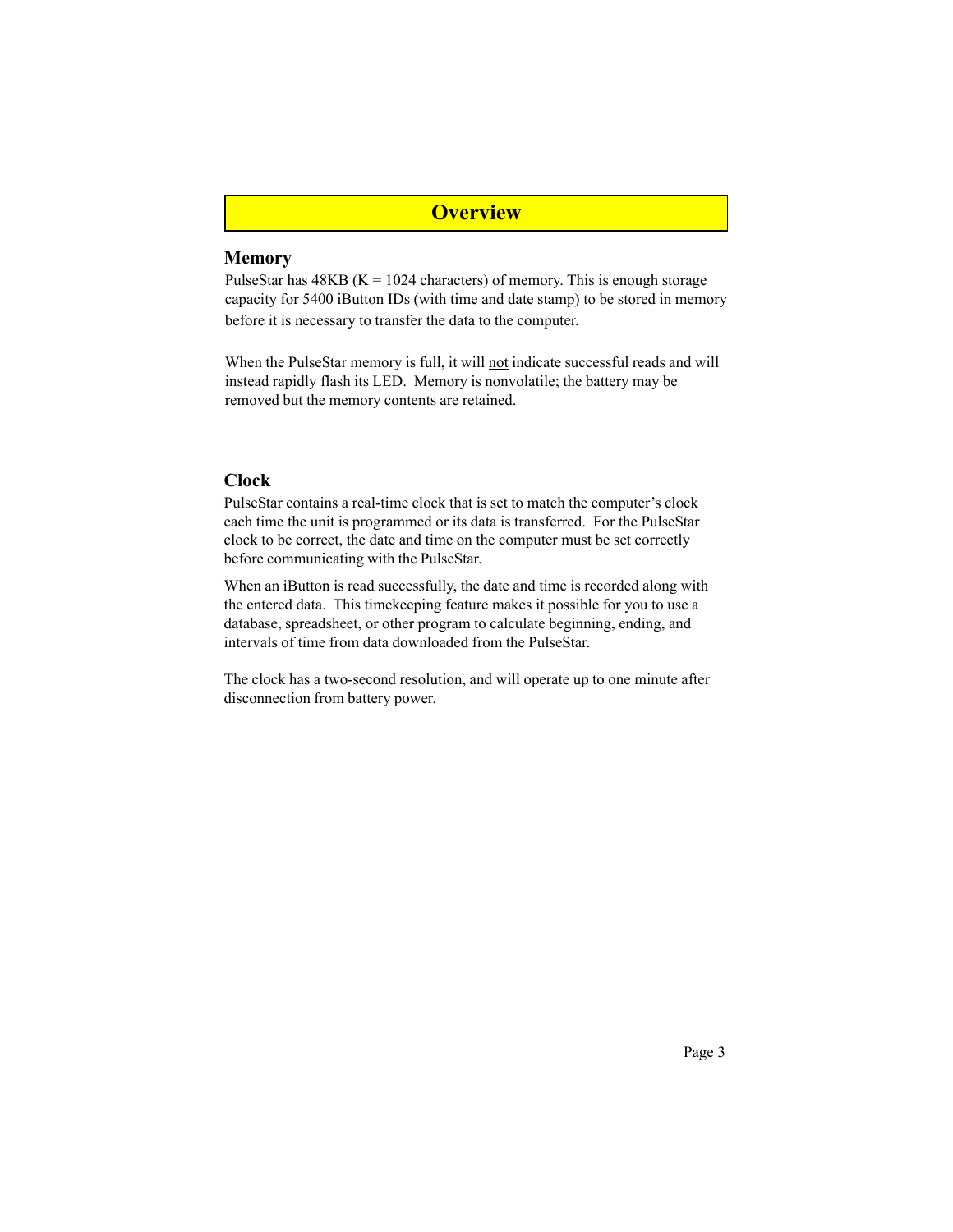### **Overview**

#### **Memory**

PulseStar has  $48KB$  (K = 1024 characters) of memory. This is enough storage capacity for 5400 iButton IDs (with time and date stamp) to be stored in memory before it is necessary to transfer the data to the computer.

When the PulseStar memory is full, it will not indicate successful reads and will instead rapidly flash its LED. Memory is nonvolatile; the battery may be removed but the memory contents are retained.

#### **Clock**

PulseStar contains a real-time clock that is set to match the computer's clock each time the unit is programmed or its data is transferred. For the PulseStar clock to be correct, the date and time on the computer must be set correctly before communicating with the PulseStar.

When an iButton is read successfully, the date and time is recorded along with the entered data. This timekeeping feature makes it possible for you to use a database, spreadsheet, or other program to calculate beginning, ending, and intervals of time from data downloaded from the PulseStar.

The clock has a two-second resolution, and will operate up to one minute after disconnection from battery power.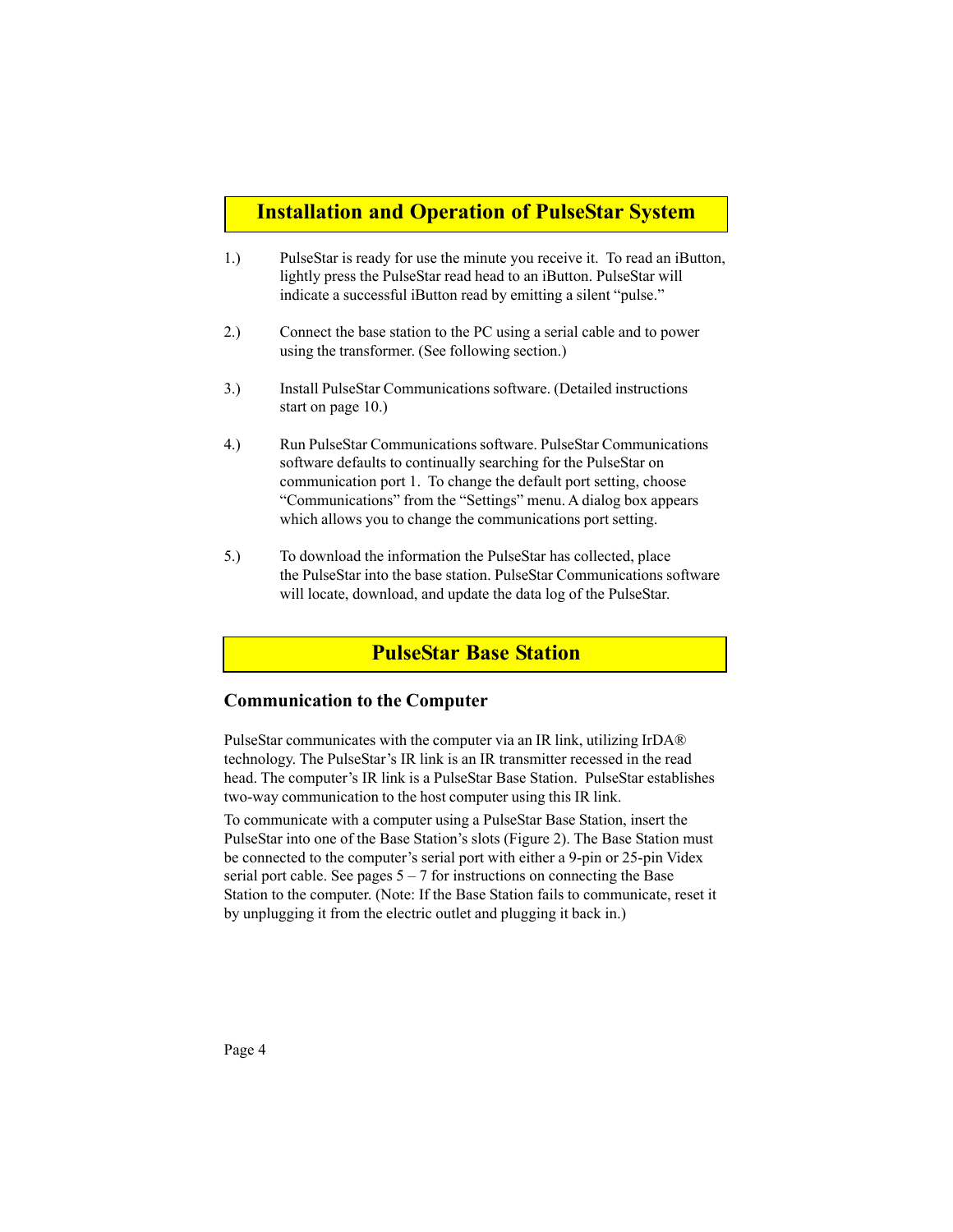## **Installation and Operation of PulseStar System**

- 1.) PulseStar is ready for use the minute you receive it. To read an iButton, lightly press the PulseStar read head to an iButton. PulseStar will indicate a successful iButton read by emitting a silent "pulse."
- 2.) Connect the base station to the PC using a serial cable and to power using the transformer. (See following section.)
- 3.) Install PulseStar Communications software. (Detailed instructions start on page 10.)
- 4.) Run PulseStar Communications software. PulseStar Communications software defaults to continually searching for the PulseStar on communication port 1. To change the default port setting, choose "Communications" from the "Settings" menu. A dialog box appears which allows you to change the communications port setting.
- 5.) To download the information the PulseStar has collected, place the PulseStar into the base station. PulseStar Communications software will locate, download, and update the data log of the PulseStar.

## **PulseStar Base Station**

#### **Communication to the Computer**

PulseStar communicates with the computer via an IR link, utilizing IrDA® technology. The PulseStar's IR link is an IR transmitter recessed in the read head. The computer's IR link is a PulseStar Base Station. PulseStar establishes two-way communication to the host computer using this IR link.

To communicate with a computer using a PulseStar Base Station, insert the PulseStar into one of the Base Station's slots (Figure 2). The Base Station must be connected to the computer's serial port with either a 9-pin or 25-pin Videx serial port cable. See pages  $5 - 7$  for instructions on connecting the Base Station to the computer. (Note: If the Base Station fails to communicate, reset it by unplugging it from the electric outlet and plugging it back in.)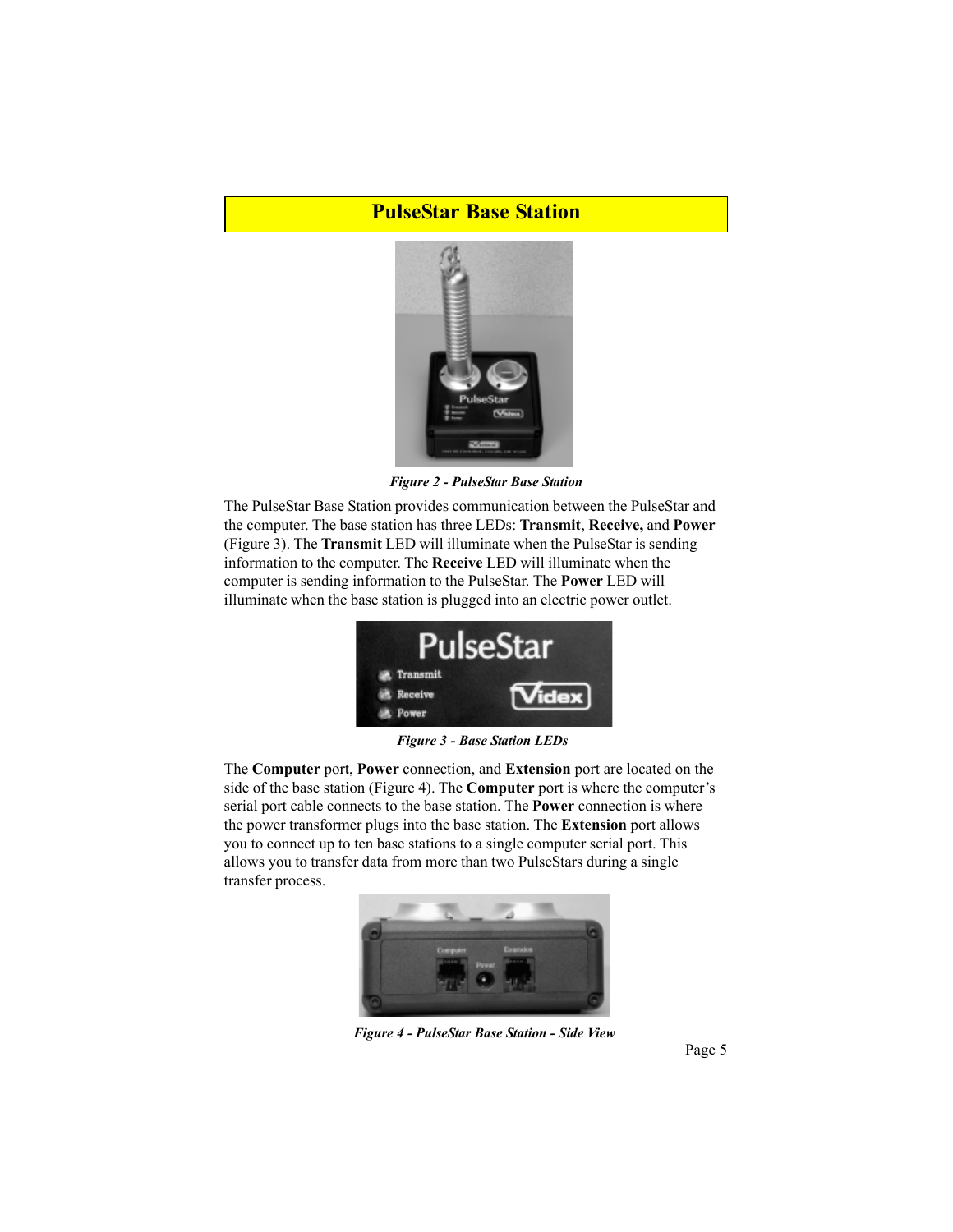### **PulseStar Base Station**



*Figure 2 - PulseStar Base Station*

The PulseStar Base Station provides communication between the PulseStar and the computer. The base station has three LEDs: **Transmit**, **Receive,** and **Power** (Figure 3). The **Transmit** LED will illuminate when the PulseStar is sending information to the computer. The **Receive** LED will illuminate when the computer is sending information to the PulseStar. The **Power** LED will illuminate when the base station is plugged into an electric power outlet.



*Figure 3 - Base Station LEDs*

The **Computer** port, **Power** connection, and **Extension** port are located on the side of the base station (Figure 4). The **Computer** port is where the computer's serial port cable connects to the base station. The **Power** connection is where the power transformer plugs into the base station. The **Extension** port allows you to connect up to ten base stations to a single computer serial port. This allows you to transfer data from more than two PulseStars during a single transfer process.



*Figure 4 - PulseStar Base Station - Side View*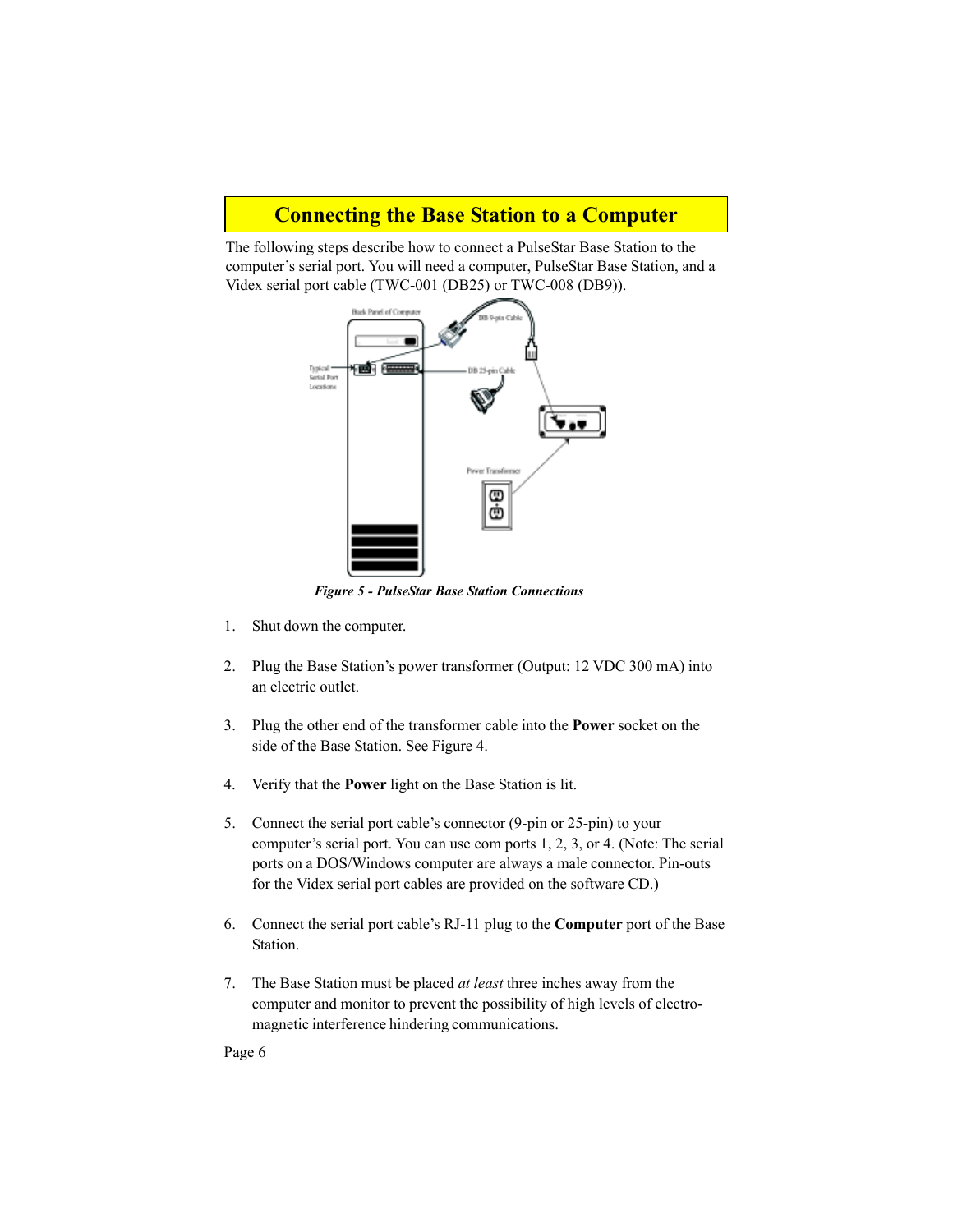### **Connecting the Base Station to a Computer**

The following steps describe how to connect a PulseStar Base Station to the computer's serial port. You will need a computer, PulseStar Base Station, and a Videx serial port cable (TWC-001 (DB25) or TWC-008 (DB9)).



*Figure 5 - PulseStar Base Station Connections*

- 1. Shut down the computer.
- 2. Plug the Base Station's power transformer (Output: 12 VDC 300 mA) into an electric outlet.
- 3. Plug the other end of the transformer cable into the **Power** socket on the side of the Base Station. See Figure 4.
- 4. Verify that the **Power** light on the Base Station is lit.
- 5. Connect the serial port cable's connector (9-pin or 25-pin) to your computer's serial port. You can use com ports 1, 2, 3, or 4. (Note: The serial ports on a DOS/Windows computer are always a male connector. Pin-outs for the Videx serial port cables are provided on the software CD.)
- 6. Connect the serial port cable's RJ-11 plug to the **Computer** port of the Base Station.
- 7. The Base Station must be placed *at least* three inches away from the computer and monitor to prevent the possibility of high levels of electromagnetic interference hindering communications.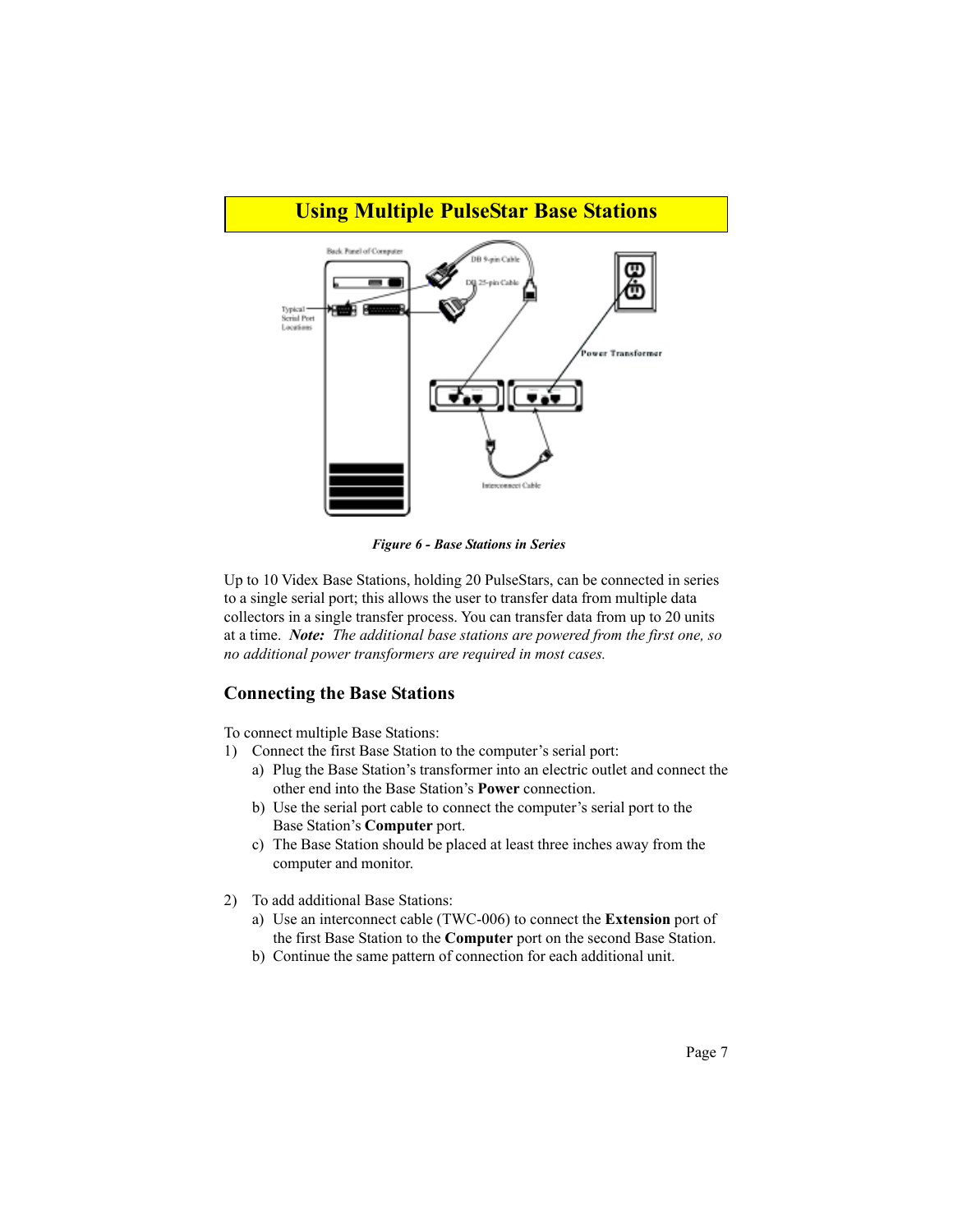

*Figure 6 - Base Stations in Series*

Up to 10 Videx Base Stations, holding 20 PulseStars, can be connected in series to a single serial port; this allows the user to transfer data from multiple data collectors in a single transfer process. You can transfer data from up to 20 units at a time. *Note: The additional base stations are powered from the first one, so no additional power transformers are required in most cases.*

#### **Connecting the Base Stations**

To connect multiple Base Stations:

- 1) Connect the first Base Station to the computer's serial port:
	- a) Plug the Base Station's transformer into an electric outlet and connect the other end into the Base Station's **Power** connection.
	- b) Use the serial port cable to connect the computer's serial port to the Base Station's **Computer** port.
	- c) The Base Station should be placed at least three inches away from the computer and monitor.
- 2) To add additional Base Stations:
	- a) Use an interconnect cable (TWC-006) to connect the **Extension** port of the first Base Station to the **Computer** port on the second Base Station.
	- b) Continue the same pattern of connection for each additional unit.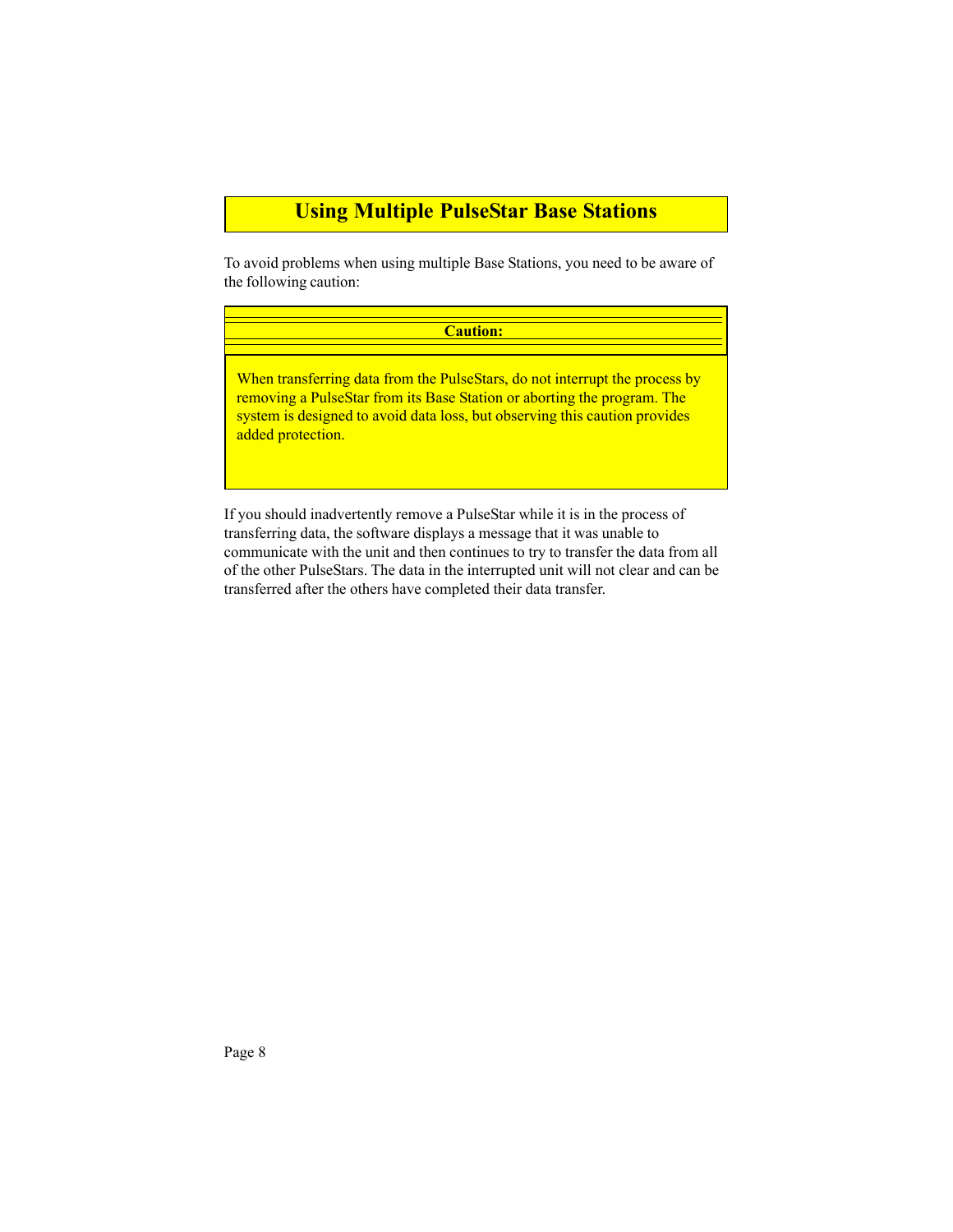## **Using Multiple PulseStar Base Stations**

To avoid problems when using multiple Base Stations, you need to be aware of the following caution:

# **Caution:** When transferring data from the PulseStars, do not interrupt the process by removing a PulseStar from its Base Station or aborting the program. The system is designed to avoid data loss, but observing this caution provides added protection.

If you should inadvertently remove a PulseStar while it is in the process of transferring data, the software displays a message that it was unable to communicate with the unit and then continues to try to transfer the data from all of the other PulseStars. The data in the interrupted unit will not clear and can be transferred after the others have completed their data transfer.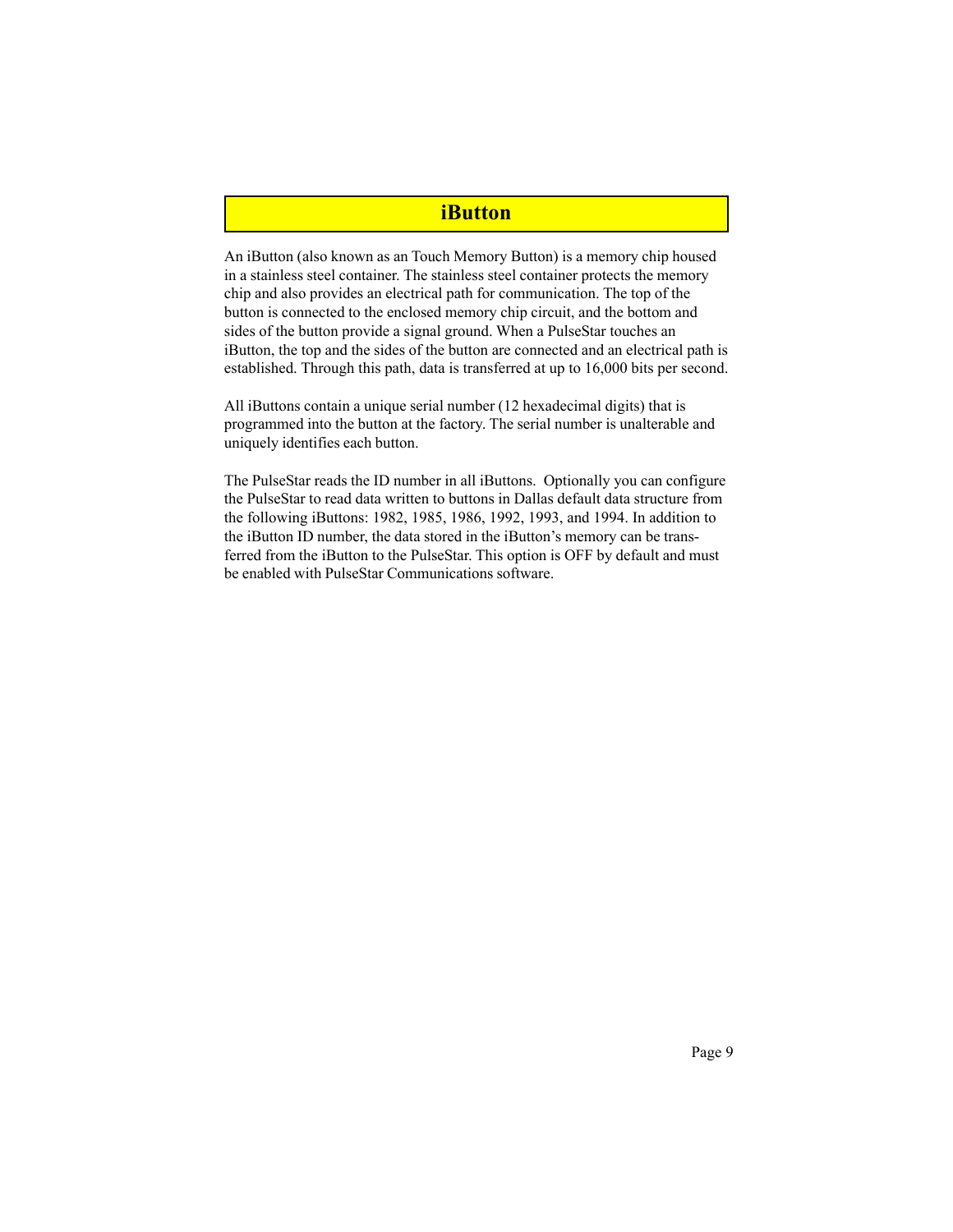#### **iButton**

An iButton (also known as an Touch Memory Button) is a memory chip housed in a stainless steel container. The stainless steel container protects the memory chip and also provides an electrical path for communication. The top of the button is connected to the enclosed memory chip circuit, and the bottom and sides of the button provide a signal ground. When a PulseStar touches an iButton, the top and the sides of the button are connected and an electrical path is established. Through this path, data is transferred at up to 16,000 bits per second.

All iButtons contain a unique serial number (12 hexadecimal digits) that is programmed into the button at the factory. The serial number is unalterable and uniquely identifies each button.

The PulseStar reads the ID number in all iButtons. Optionally you can configure the PulseStar to read data written to buttons in Dallas default data structure from the following iButtons: 1982, 1985, 1986, 1992, 1993, and 1994. In addition to the iButton ID number, the data stored in the iButton's memory can be transferred from the iButton to the PulseStar. This option is OFF by default and must be enabled with PulseStar Communications software.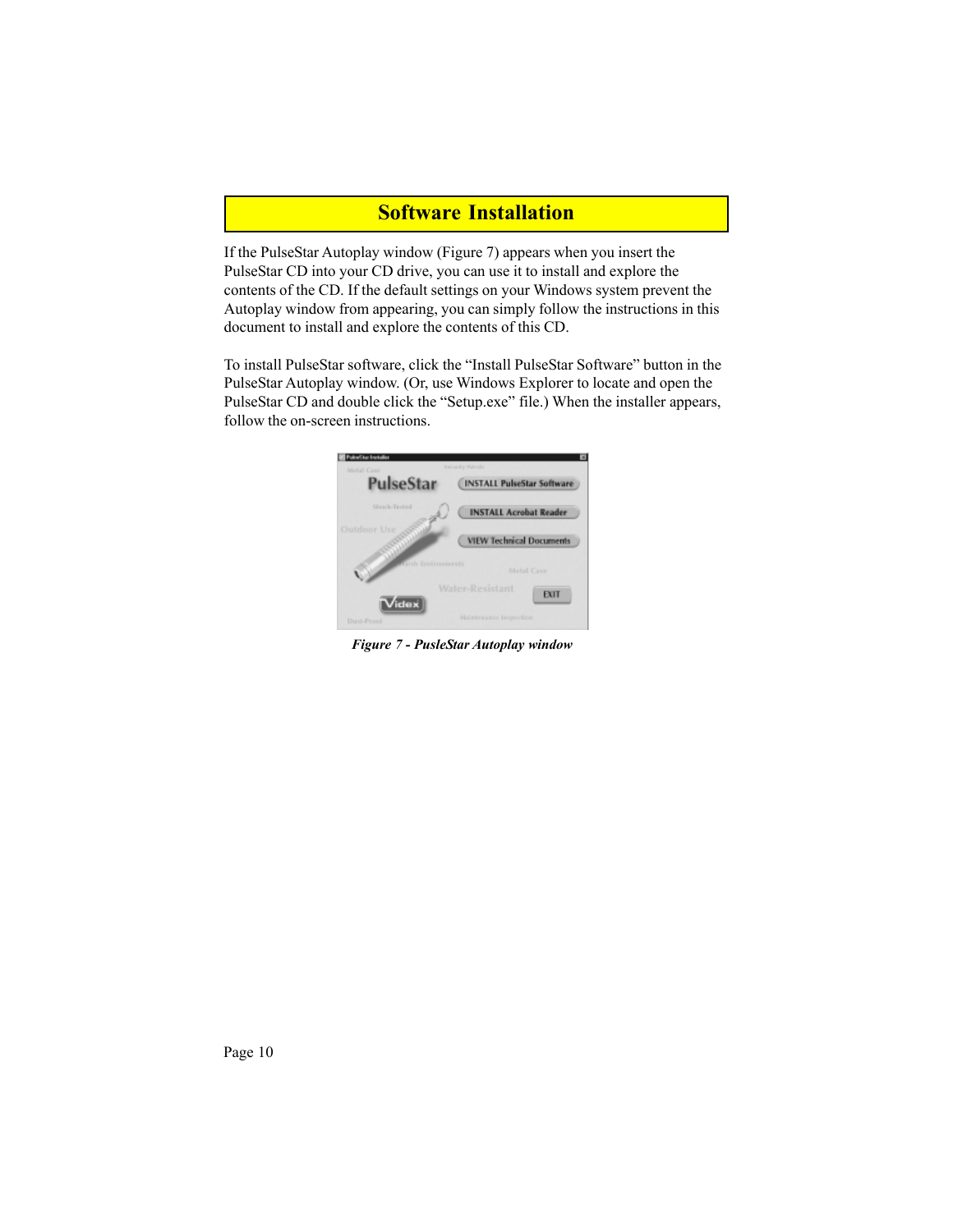## **Software Installation**

If the PulseStar Autoplay window (Figure 7) appears when you insert the PulseStar CD into your CD drive, you can use it to install and explore the contents of the CD. If the default settings on your Windows system prevent the Autoplay window from appearing, you can simply follow the instructions in this document to install and explore the contents of this CD.

To install PulseStar software, click the "Install PulseStar Software" button in the PulseStar Autoplay window. (Or, use Windows Explorer to locate and open the PulseStar CD and double click the "Setup.exe" file.) When the installer appears, follow the on-screen instructions.



*Figure 7 - PusleStar Autoplay window*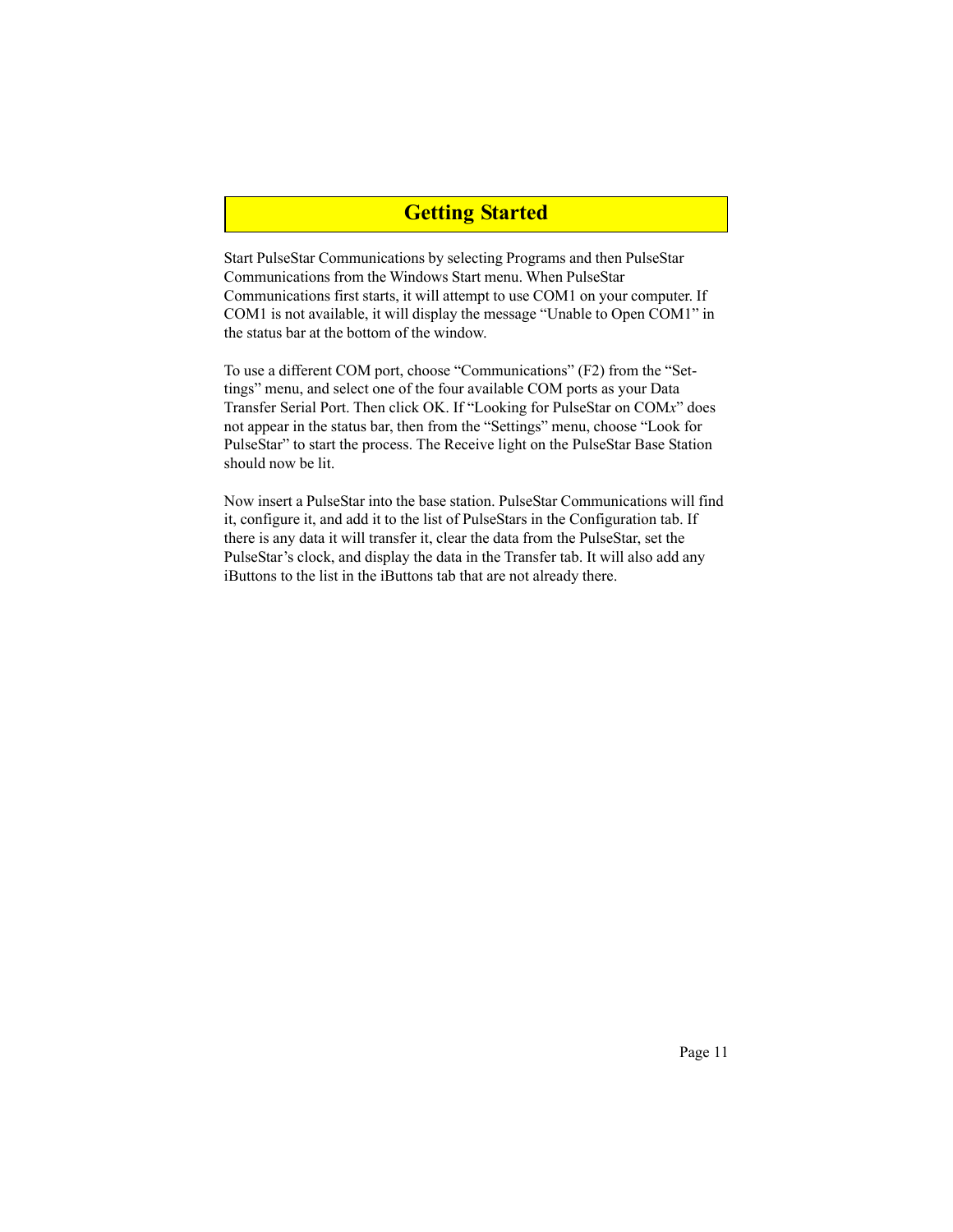### **Getting Started**

Start PulseStar Communications by selecting Programs and then PulseStar Communications from the Windows Start menu. When PulseStar Communications first starts, it will attempt to use COM1 on your computer. If COM1 is not available, it will display the message "Unable to Open COM1" in the status bar at the bottom of the window.

To use a different COM port, choose "Communications" (F2) from the "Settings" menu, and select one of the four available COM ports as your Data Transfer Serial Port. Then click OK. If "Looking for PulseStar on COM*x*" does not appear in the status bar, then from the "Settings" menu, choose "Look for PulseStar" to start the process. The Receive light on the PulseStar Base Station should now be lit.

Now insert a PulseStar into the base station. PulseStar Communications will find it, configure it, and add it to the list of PulseStars in the Configuration tab. If there is any data it will transfer it, clear the data from the PulseStar, set the PulseStar's clock, and display the data in the Transfer tab. It will also add any iButtons to the list in the iButtons tab that are not already there.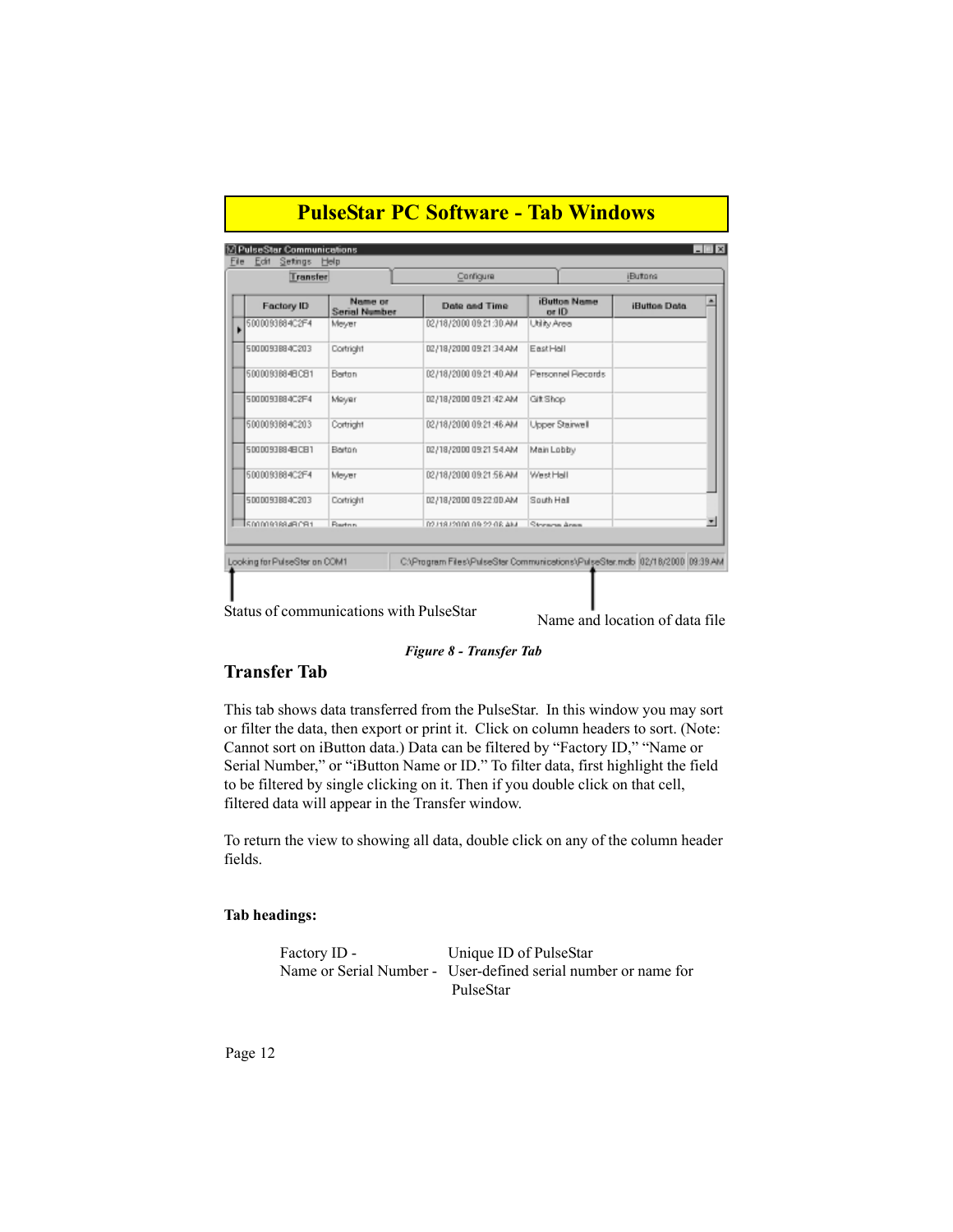| Edit<br>Setings<br>Transfer   | Help                            | Configure                                                                    |                              | <b>iButons</b>      |
|-------------------------------|---------------------------------|------------------------------------------------------------------------------|------------------------------|---------------------|
|                               |                                 |                                                                              |                              |                     |
| <b>Factory ID</b>             | Name or<br><b>Serial Number</b> | Date and Time                                                                | <b>iButton Name</b><br>or ID | <b>iButton Data</b> |
| 5000093884C2F4                | Meyer                           | 02/18/2000 09:21:30 AM                                                       | Utility Area                 |                     |
| 5000093884C203                | Cortright                       | 02/18/2000 09:21:34 AM                                                       | EastHall                     |                     |
| 5000093884BCB1                | Berton                          | 02/18/2000 09:21:40 AM                                                       | Personnel Piecords           |                     |
| 5000093884C2F4                | Meyer                           | 02/18/2000 09:21:42 AM                                                       | GitShop                      |                     |
| 5000093884C203                | Cortright                       | MA 8P: 15:60 0003151150                                                      | Upper Stairwell              |                     |
| 50000938848C81                | Berton                          | 02/18/2000 09:21 54 AM                                                       | Main Lobby                   |                     |
| 5000093884C2F4                | Mever                           | 02/18/2000 09:21:58 AM                                                       | West Hall                    |                     |
| 5000093884C203                | Cortright                       | 02/18/2000 09:22:00 AM                                                       | South Hall                   |                     |
| 50000938848081                | <b>Raztron</b>                  | 02/18/2000 09:22:08 AM                                                       | <b>Streama</b> Area          |                     |
| Looking for PulseSter on COM1 |                                 | C:\Program Files\PulseSter Communications\PulseSter.mdb  02/18/2000 09:39 AM |                              |                     |

#### *Figure 8 - Transfer Tab*

#### **Transfer Tab**

This tab shows data transferred from the PulseStar. In this window you may sort or filter the data, then export or print it. Click on column headers to sort. (Note: Cannot sort on iButton data.) Data can be filtered by "Factory ID," "Name or Serial Number," or "iButton Name or ID." To filter data, first highlight the field to be filtered by single clicking on it. Then if you double click on that cell, filtered data will appear in the Transfer window.

To return the view to showing all data, double click on any of the column header fields.

#### **Tab headings:**

```
Factory ID - Unique ID of PulseStar
Name or Serial Number - User-defined serial number or name for
                        PulseStar
```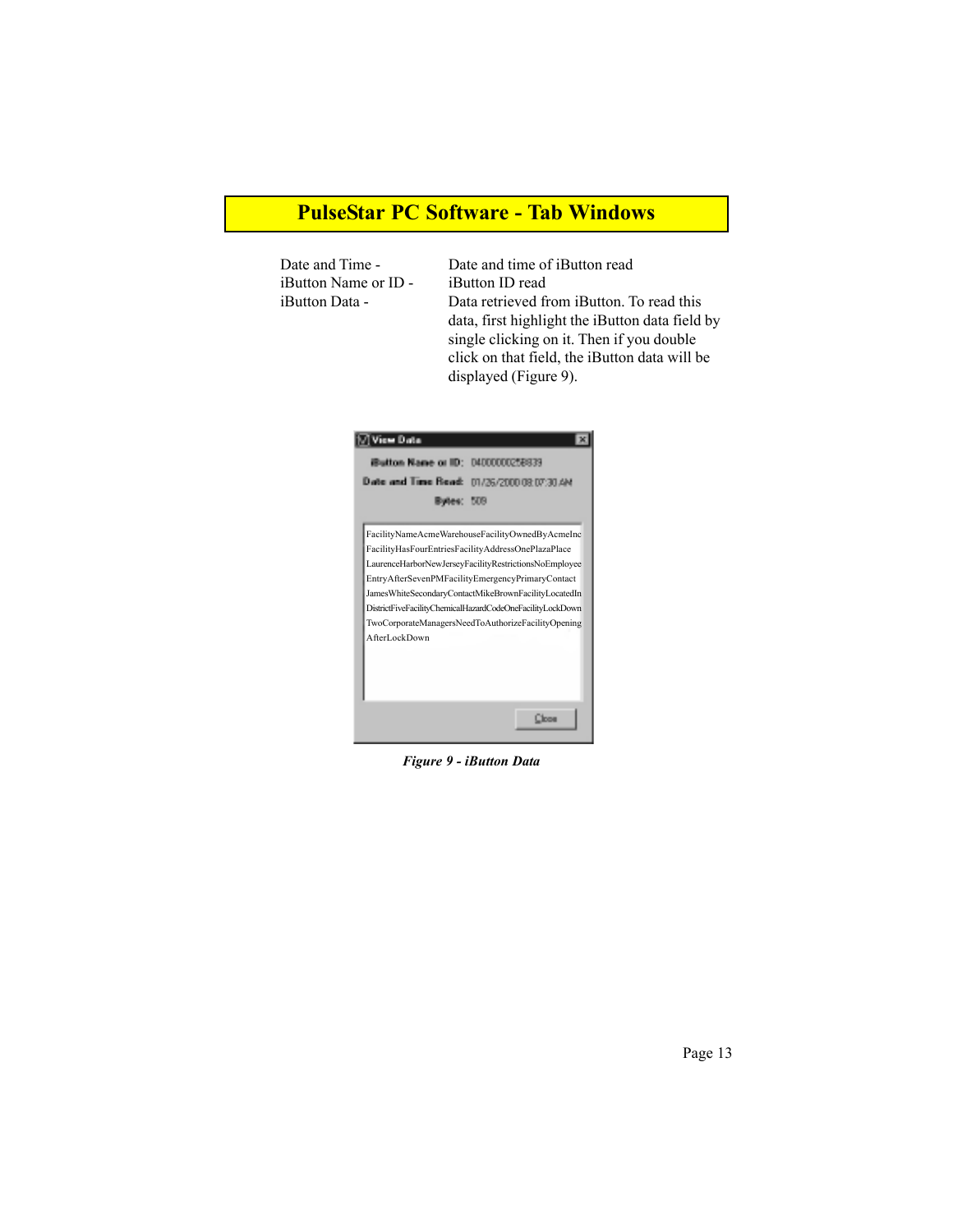## **PulseStar PC Software - Tab Windows**

iButton Name or ID - iButton ID read

Date and Time - Date and time of iButton read iButton Data - Data retrieved from iButton. To read this data, first highlight the iButton data field by single clicking on it. Then if you double click on that field, the iButton data will be displayed (Figure 9).



*Figure 9 - iButton Data*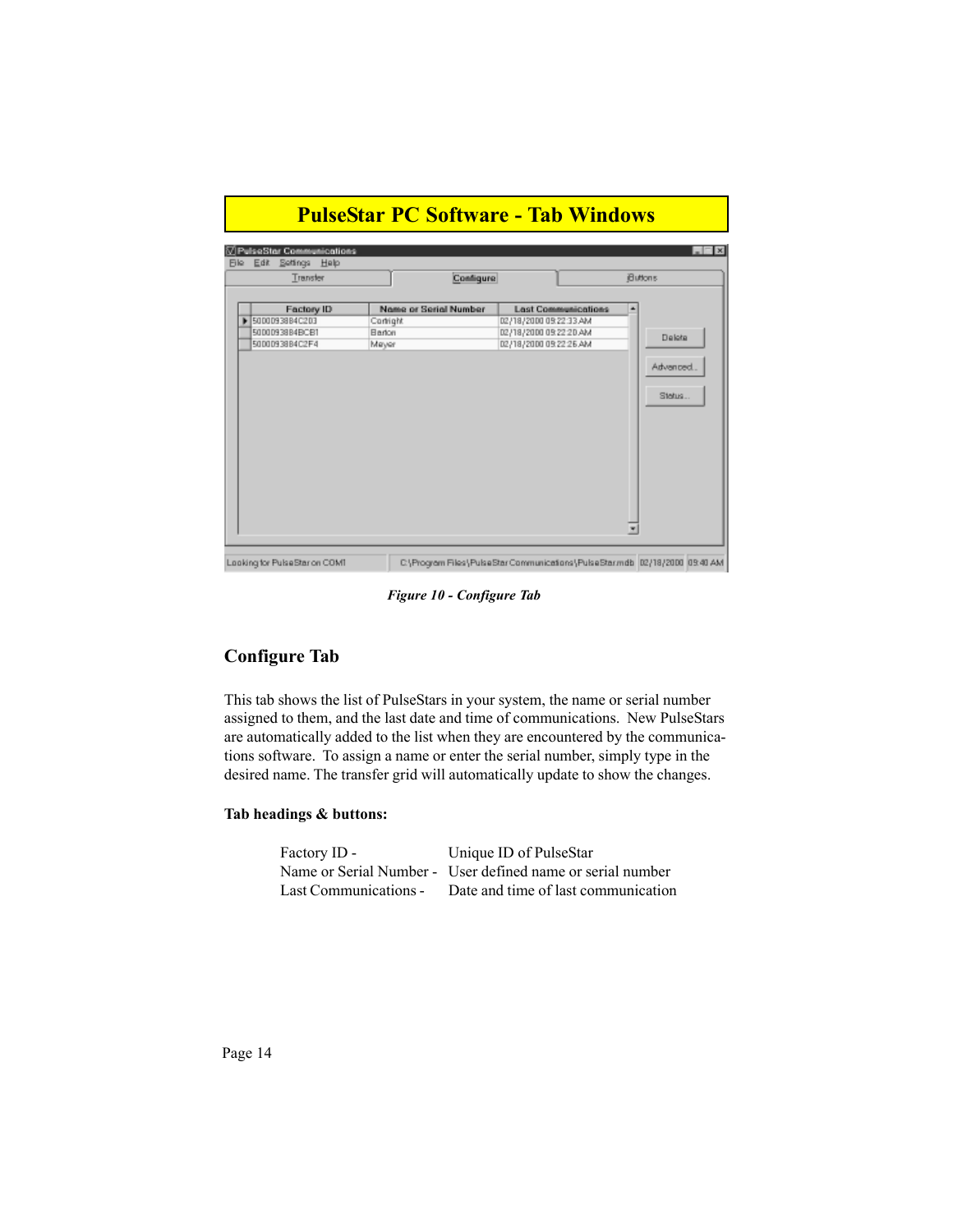| Transfer                                                                | Configure                                             |                                                                                                          | Buttons                       |
|-------------------------------------------------------------------------|-------------------------------------------------------|----------------------------------------------------------------------------------------------------------|-------------------------------|
| <b>Factory ID</b><br>50000938B4C203<br>50000938B4BCB1<br>50000938B4C2F4 | Name or Serial Number<br>Contright<br>Barton<br>Mayer | <b>Last Communications</b><br>02/18/2000 09:22:33 AM<br>02/18/2000 09:22:20 AM<br>02/18/2000 09:22:26 AM | Delote<br>Advanced.<br>Status |

*Figure 10 - Configure Tab*

### **Configure Tab**

This tab shows the list of PulseStars in your system, the name or serial number assigned to them, and the last date and time of communications. New PulseStars are automatically added to the list when they are encountered by the communications software. To assign a name or enter the serial number, simply type in the desired name. The transfer grid will automatically update to show the changes.

#### **Tab headings & buttons:**

Factory ID - Unique ID of PulseStar Name or Serial Number - User defined name or serial number Last Communications - Date and time of last communication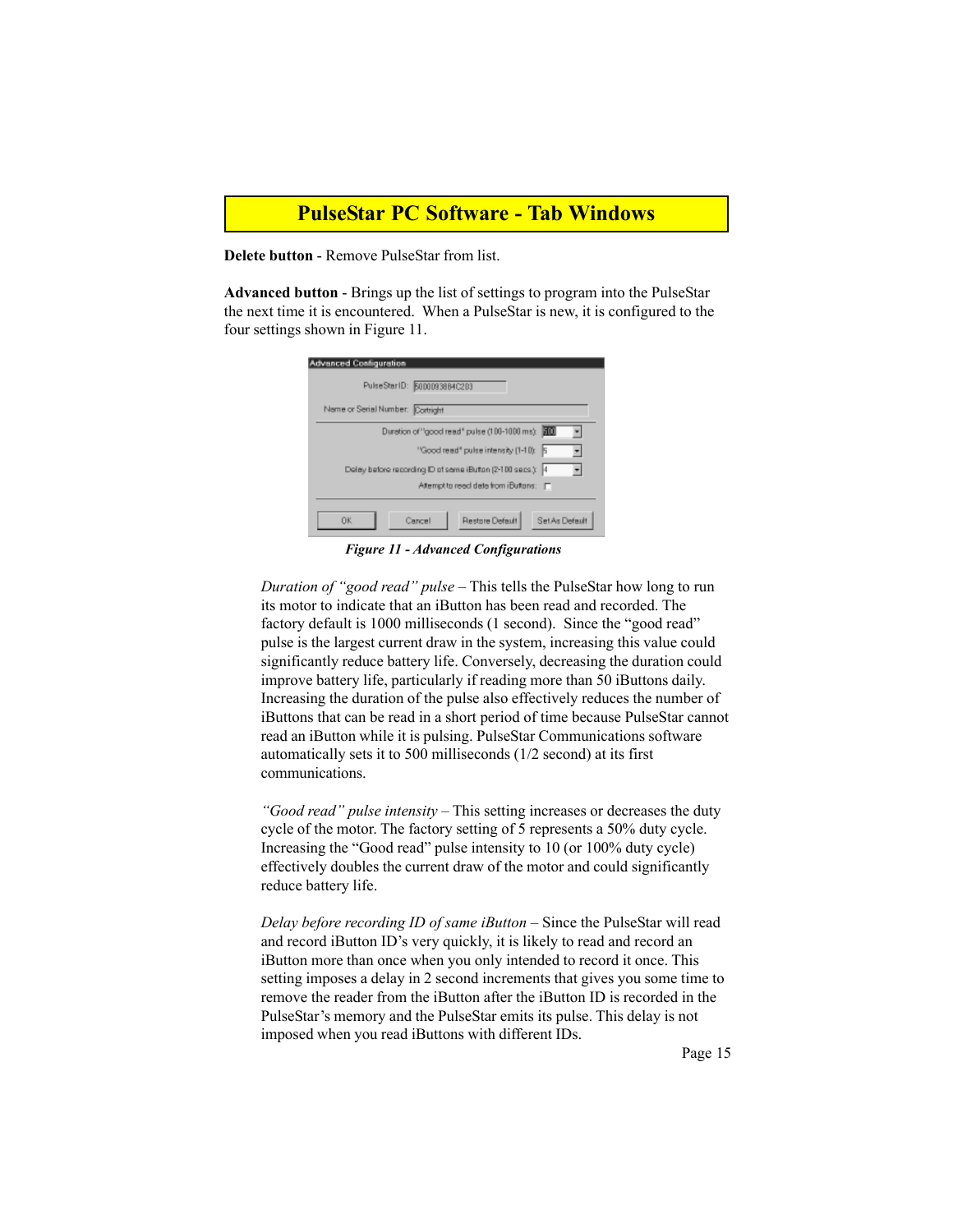### **PulseStar PC Software - Tab Windows**

**Delete button** - Remove PulseStar from list.

**Advanced button** - Brings up the list of settings to program into the PulseStar the next time it is encountered. When a PulseStar is new, it is configured to the four settings shown in Figure 11.

| <b>Advanced Configuration</b>                              |
|------------------------------------------------------------|
| PulseStar1D: 5000093884C203                                |
| Name or Serial Number: Cortright                           |
| Duration of "good read" pulse (100-1000 ms): 200           |
| "Good read" pulse intensity (1-10): 5                      |
| Delay before recording ID of some iButton (2-100 secs.): 4 |
| Attempt to read data from iButtons: F                      |
| 0K<br>Restore Default<br>Set As Default<br>Cancel          |

*Figure 11 - Advanced Configurations*

*Duration of "good read" pulse* – This tells the PulseStar how long to run its motor to indicate that an iButton has been read and recorded. The factory default is 1000 milliseconds (1 second). Since the "good read" pulse is the largest current draw in the system, increasing this value could significantly reduce battery life. Conversely, decreasing the duration could improve battery life, particularly if reading more than 50 iButtons daily. Increasing the duration of the pulse also effectively reduces the number of iButtons that can be read in a short period of time because PulseStar cannot read an iButton while it is pulsing. PulseStar Communications software automatically sets it to 500 milliseconds (1/2 second) at its first communications.

*"Good read" pulse intensity* – This setting increases or decreases the duty cycle of the motor. The factory setting of 5 represents a 50% duty cycle. Increasing the "Good read" pulse intensity to 10 (or 100% duty cycle) effectively doubles the current draw of the motor and could significantly reduce battery life.

*Delay before recording ID of same iButton* – Since the PulseStar will read and record iButton ID's very quickly, it is likely to read and record an iButton more than once when you only intended to record it once. This setting imposes a delay in 2 second increments that gives you some time to remove the reader from the iButton after the iButton ID is recorded in the PulseStar's memory and the PulseStar emits its pulse. This delay is not imposed when you read iButtons with different IDs.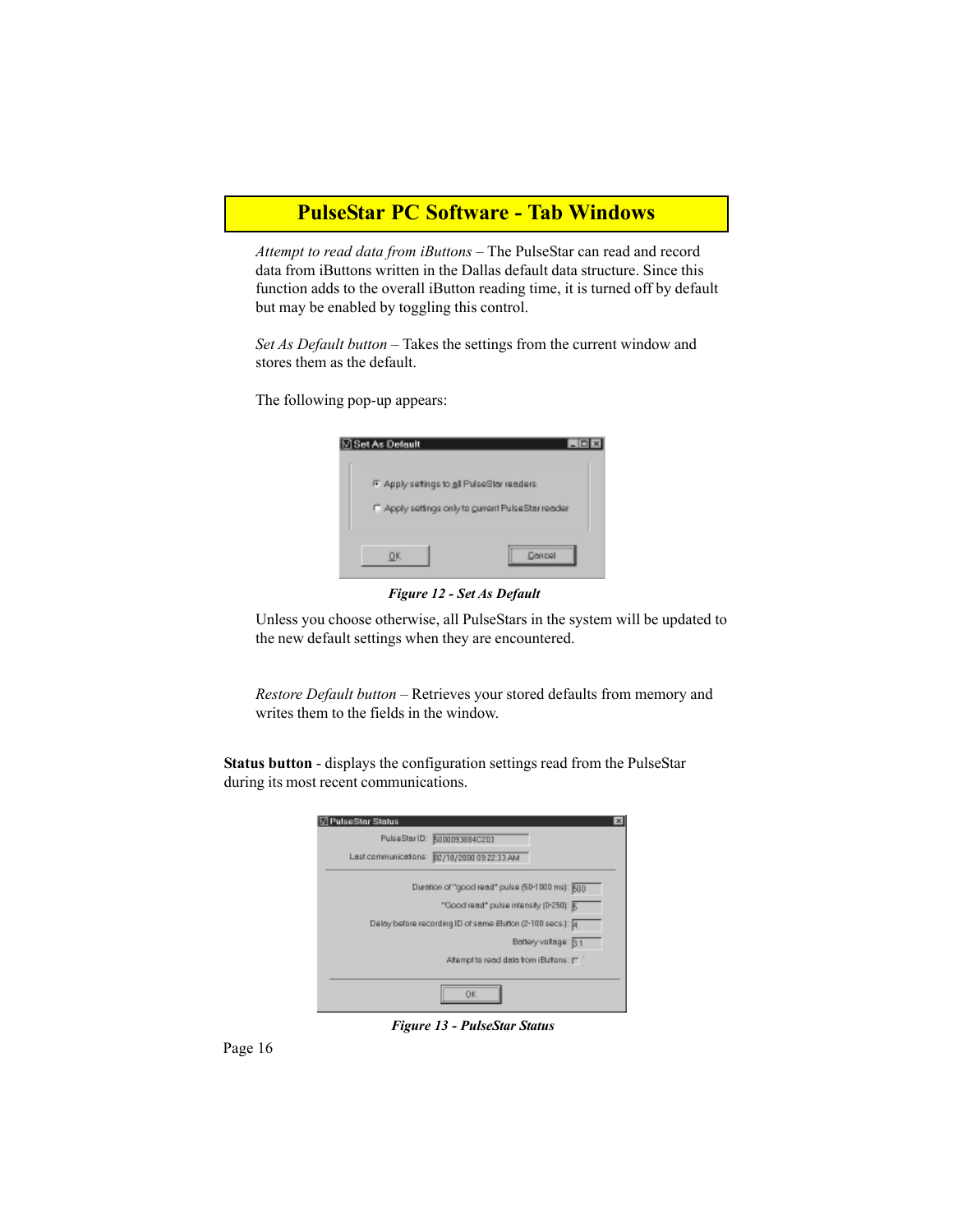## **PulseStar PC Software - Tab Windows**

*Attempt to read data from iButtons* – The PulseStar can read and record data from iButtons written in the Dallas default data structure. Since this function adds to the overall iButton reading time, it is turned off by default but may be enabled by toggling this control.

*Set As Default button –* Takes the settings from the current window and stores them as the default.

The following pop-up appears:

| ⊠ Set As Default | $-10$                                               |
|------------------|-----------------------------------------------------|
|                  | F Apply settings to all PulseStar readers           |
|                  | C. Apply settings only to gurrent Pulse Star reader |
| 0K               | Carrool                                             |

*Figure 12 - Set As Default*

Unless you choose otherwise, all PulseStars in the system will be updated to the new default settings when they are encountered.

*Restore Default button* – Retrieves your stored defaults from memory and writes them to the fields in the window.

**Status button** - displays the configuration settings read from the PulseStar during its most recent communications.

| <b>☑ PulseStar Status</b>                                   | × |
|-------------------------------------------------------------|---|
| PulseStarID: 5000093884C203                                 |   |
| Last communications: 02/18/2000 09:22:33 AM                 |   |
| Duration of "good read" pulse (50-1000 ms): 500             |   |
| "Good read" pulse intensity (0-250): 5                      |   |
| Deley before recording ID of same Eution (2-100 secs.): [4] |   |
| Bettery voltage: 31                                         |   |
| Attampt to read data from iButtons: [7]                     |   |
|                                                             |   |
| ΩK                                                          |   |

*Figure 13 - PulseStar Status*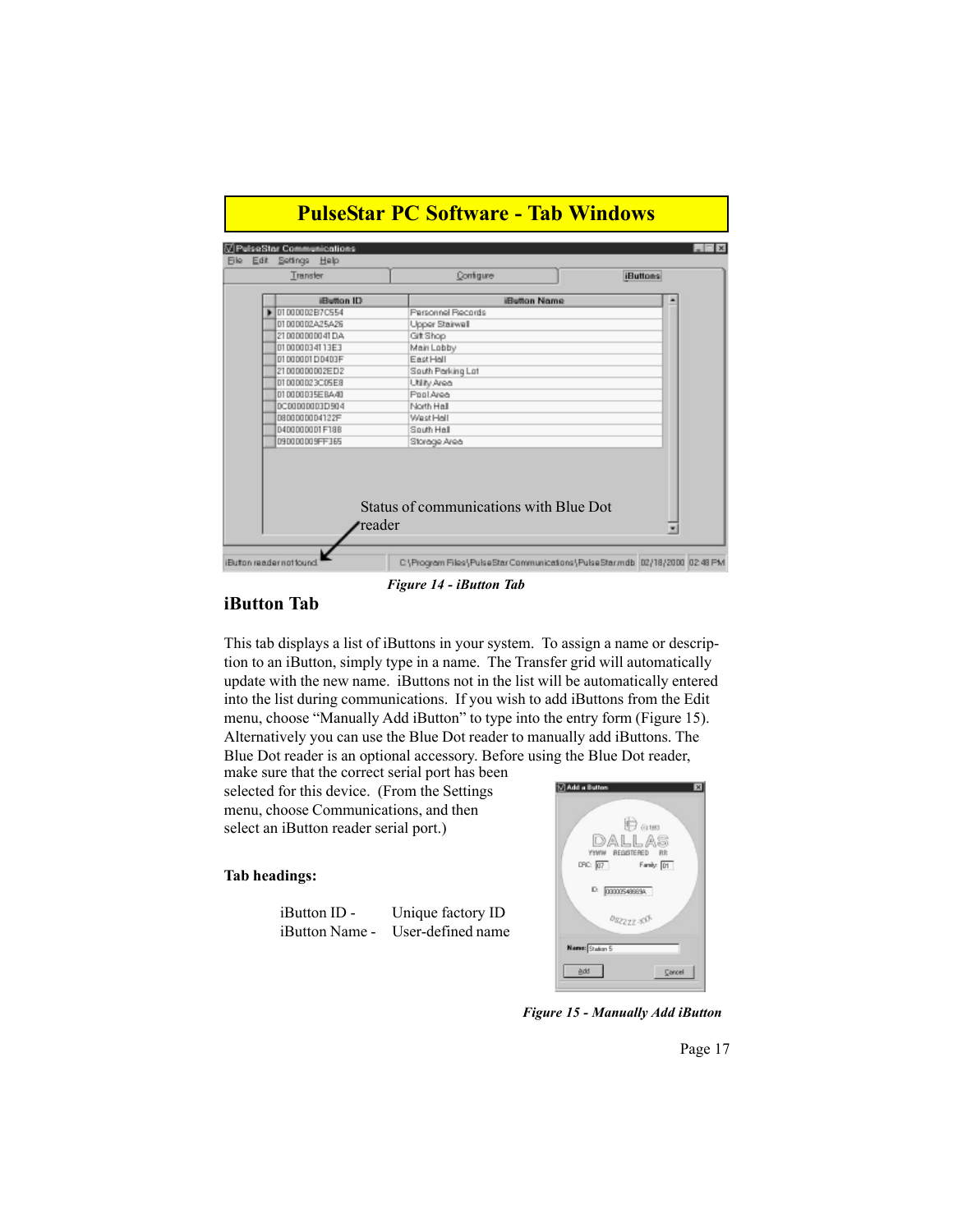| Transfer       | Configure                              | <b>iButtons</b> |
|----------------|----------------------------------------|-----------------|
| iButton ID     | <b>Button Name</b>                     |                 |
| 0100002B7C554  | Personnel Records                      |                 |
| 01000002A25A26 | Upper Stairwall                        |                 |
| 21000000041DA  | GitShop                                |                 |
| D1000034113E3  | Main Lobby                             |                 |
| 0100001D0403F  | EastHall                               |                 |
| 2100000002ED2  | South Parking Lat                      |                 |
| 010000023C05E8 | Utility Area                           |                 |
| 010000035E8A40 | Pool Area                              |                 |
| DC00000003D904 | North Hall                             |                 |
| D80000004122F  | Wast Hall                              |                 |
| D400000001F18B | South Hall                             |                 |
| 090000009FF365 | Storage Area                           |                 |
| reader         | Status of communications with Blue Dot |                 |

*Figure 14 - iButton Tab*

#### **iButton Tab**

This tab displays a list of iButtons in your system. To assign a name or description to an iButton, simply type in a name. The Transfer grid will automatically update with the new name. iButtons not in the list will be automatically entered into the list during communications. If you wish to add iButtons from the Edit menu, choose "Manually Add iButton" to type into the entry form (Figure 15). Alternatively you can use the Blue Dot reader to manually add iButtons. The Blue Dot reader is an optional accessory. Before using the Blue Dot reader,

make sure that the correct serial port has been selected for this device. (From the Settings menu, choose Communications, and then select an iButton reader serial port.)

#### **Tab headings:**

| $i$ Button ID -       | Unique factory ID |
|-----------------------|-------------------|
| <i>iButton Name -</i> | User-defined name |



*Figure 15 - Manually Add iButton*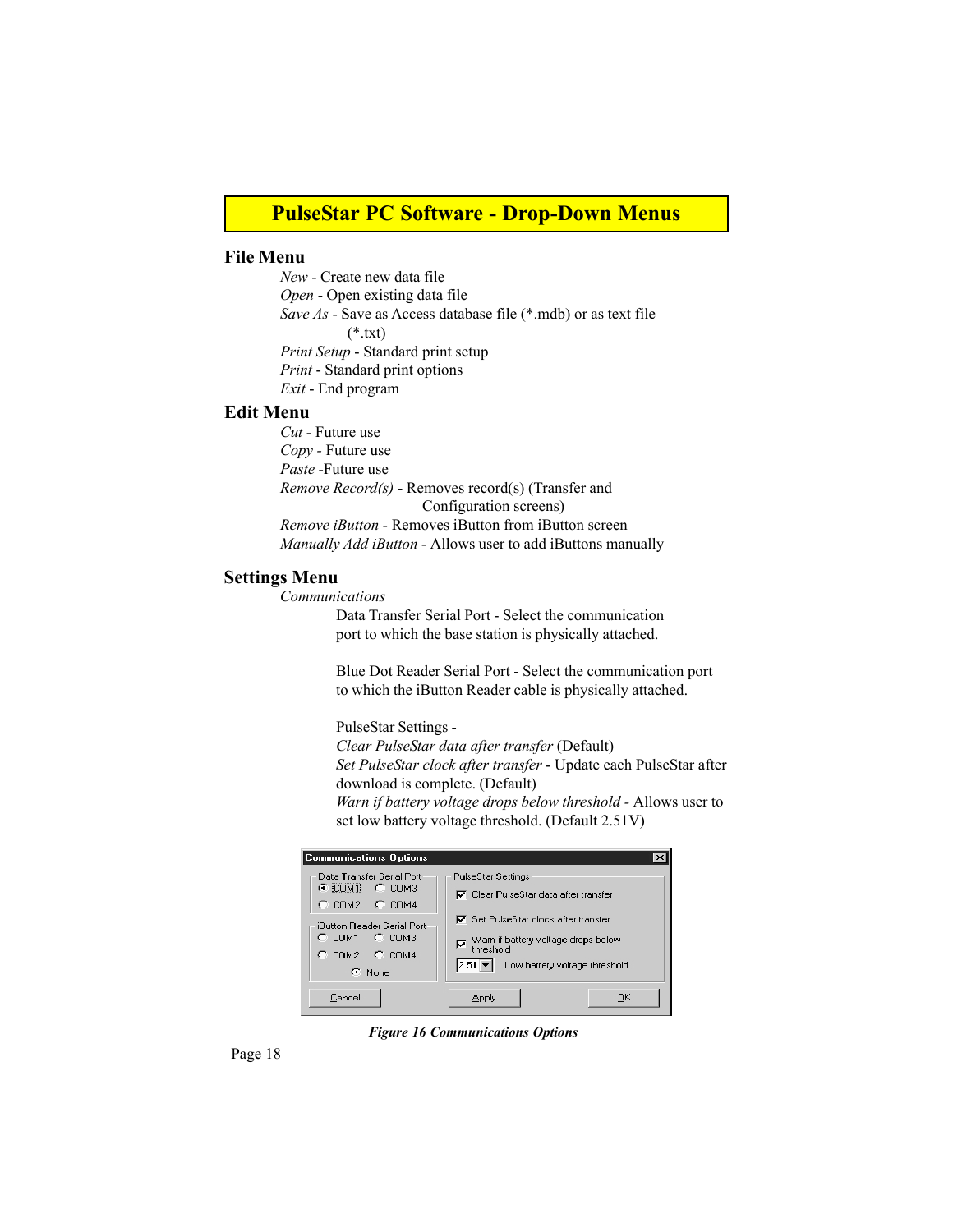### **PulseStar PC Software - Drop-Down Menus**

#### **File Menu**

*New* - Create new data file *Open* - Open existing data file *Save As* - Save as Access database file (\*.mdb) or as text file  $(*.txt)$ *Print Setup* - Standard print setup *Print* - Standard print options *Exit* - End program

#### **Edit Menu**

*Cut -* Future use *Copy -* Future use *Paste -*Future use *Remove Record(s)* - Removes record(s) (Transfer and Configuration screens) *Remove iButton -* Removes iButton from iButton screen *Manually Add iButton -* Allows user to add iButtons manually

#### **Settings Menu**

*Communications*

Data Transfer Serial Port - Select the communication port to which the base station is physically attached.

Blue Dot Reader Serial Port - Select the communication port to which the iButton Reader cable is physically attached.

PulseStar Settings -

*Clear PulseStar data after transfer* (Default) *Set PulseStar clock after transfer* - Update each PulseStar after download is complete. (Default) *Warn if battery voltage drops below threshold -* Allows user to set low battery voltage threshold. (Default 2.51V)

| <b>Communications Options</b>                                                                                                                                                    |                                                                                                                                                                                                                       |
|----------------------------------------------------------------------------------------------------------------------------------------------------------------------------------|-----------------------------------------------------------------------------------------------------------------------------------------------------------------------------------------------------------------------|
| Data Transfer Serial Port<br>$\circ$ com <sub>3</sub><br>$C$ icom1.<br>$C$ COM2 $C$ COM4<br>iButton Reader Serial Port<br>$C$ COM1 $C$ COM3<br>$C$ COM2 $C$ COM4<br>$\odot$ None | PulseStar Settings<br>I⊽ Clear PulseStar data after transfer<br><b>▽</b> Set PulseStar clock after transfer<br>Warn if battery voltage drops below<br>threshold<br>ঢ়<br>$ 2.51 -  $<br>Low battery voltage threshold |
| Cancel                                                                                                                                                                           | OΚ<br>Apply                                                                                                                                                                                                           |

*Figure 16 Communications Options*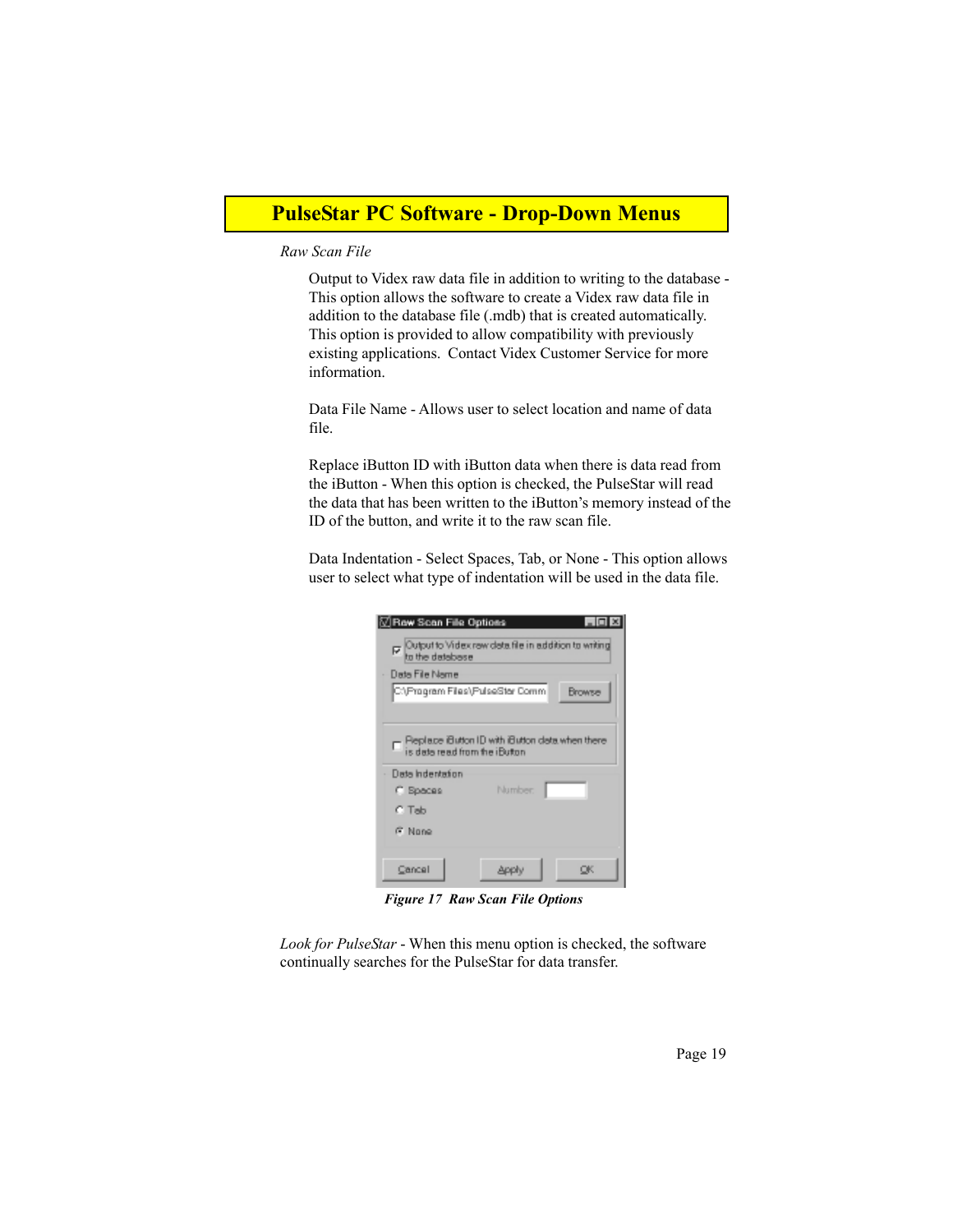## **PulseStar PC Software - Drop-Down Menus**

#### *Raw Scan File*

Output to Videx raw data file in addition to writing to the database - This option allows the software to create a Videx raw data file in addition to the database file (.mdb) that is created automatically. This option is provided to allow compatibility with previously existing applications. Contact Videx Customer Service for more information.

Data File Name - Allows user to select location and name of data file.

Replace iButton ID with iButton data when there is data read from the iButton - When this option is checked, the PulseStar will read the data that has been written to the iButton's memory instead of the ID of the button, and write it to the raw scan file.

Data Indentation - Select Spaces, Tab, or None - This option allows user to select what type of indentation will be used in the data file.

| <b>⊡Row Scan File Options</b>   |                                                                                  |        |
|---------------------------------|----------------------------------------------------------------------------------|--------|
|                                 | p Culput to Videx row data file in addition to writing<br>to the database        |        |
| Data File Name                  |                                                                                  |        |
| C:\Program Files\PulseStar Comm |                                                                                  | Browse |
|                                 |                                                                                  |        |
| Data Indentation                | □ Replace Button ID with Button data when there<br>is data read from the iButton |        |
| C Spaces                        | Number.                                                                          |        |
| C Tab                           |                                                                                  |        |
| G Nono                          |                                                                                  |        |
| Cancel                          |                                                                                  | оκ     |

*Figure 17 Raw Scan File Options*

*Look for PulseStar* - When this menu option is checked, the software continually searches for the PulseStar for data transfer.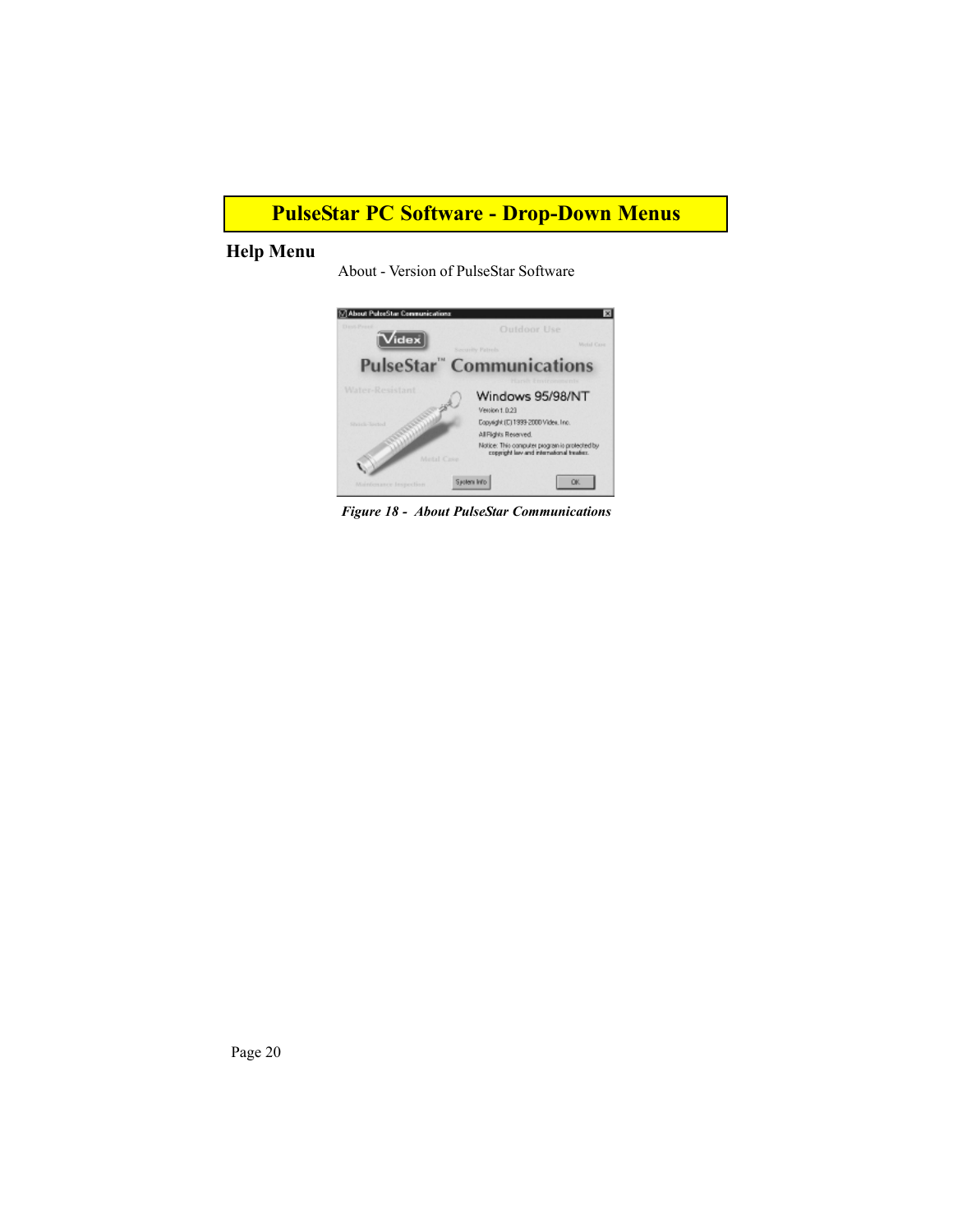## **PulseStar PC Software - Drop-Down Menus**

### **Help Menu**

About - Version of PulseStar Software



*Figure 18 - About PulseStar Communications*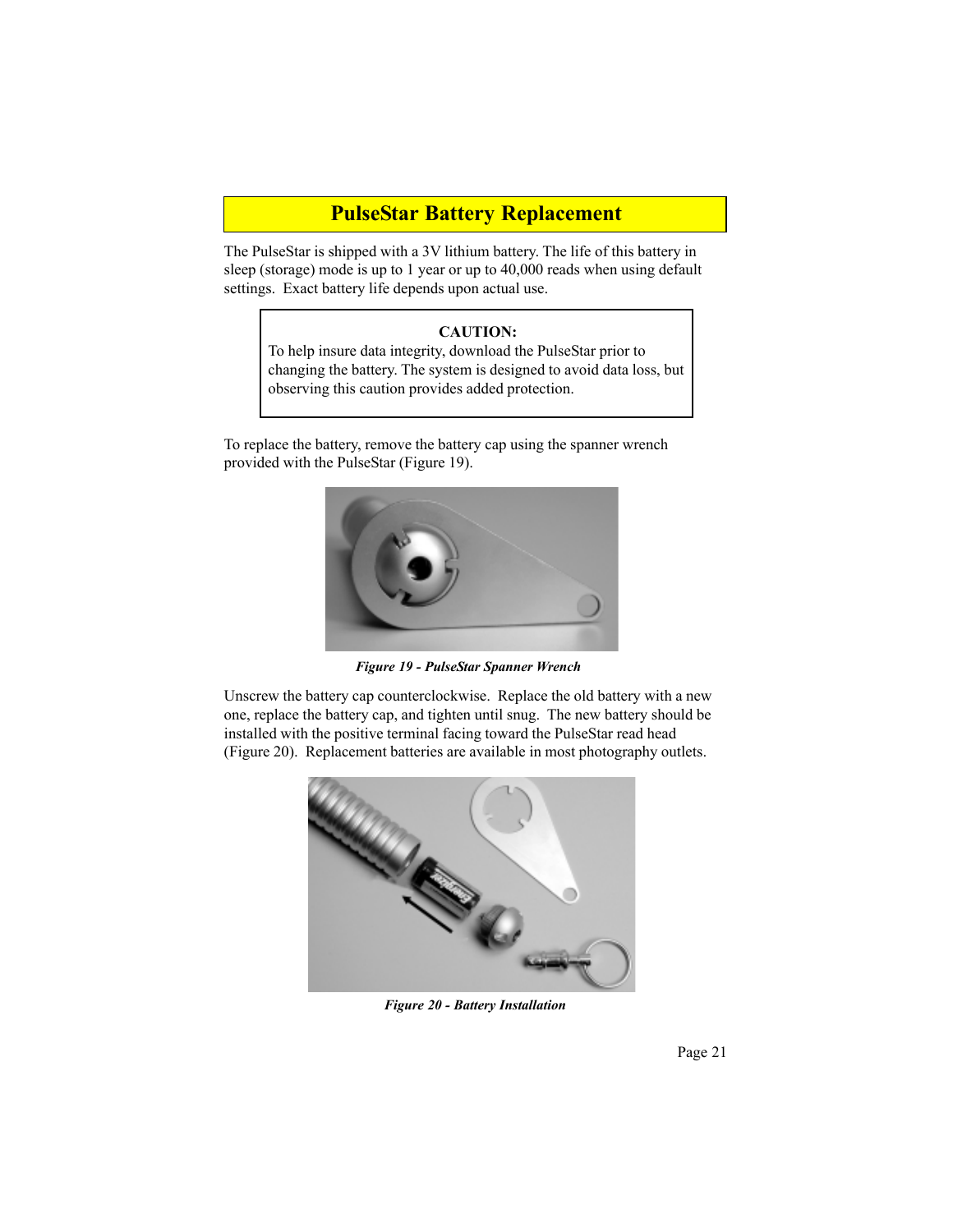### **PulseStar Battery Replacement**

The PulseStar is shipped with a 3V lithium battery. The life of this battery in sleep (storage) mode is up to 1 year or up to 40,000 reads when using default settings. Exact battery life depends upon actual use.

#### **CAUTION:**

To help insure data integrity, download the PulseStar prior to changing the battery. The system is designed to avoid data loss, but observing this caution provides added protection.

To replace the battery, remove the battery cap using the spanner wrench provided with the PulseStar (Figure 19).



*Figure 19 - PulseStar Spanner Wrench*

Unscrew the battery cap counterclockwise. Replace the old battery with a new one, replace the battery cap, and tighten until snug. The new battery should be installed with the positive terminal facing toward the PulseStar read head (Figure 20). Replacement batteries are available in most photography outlets.



*Figure 20 - Battery Installation*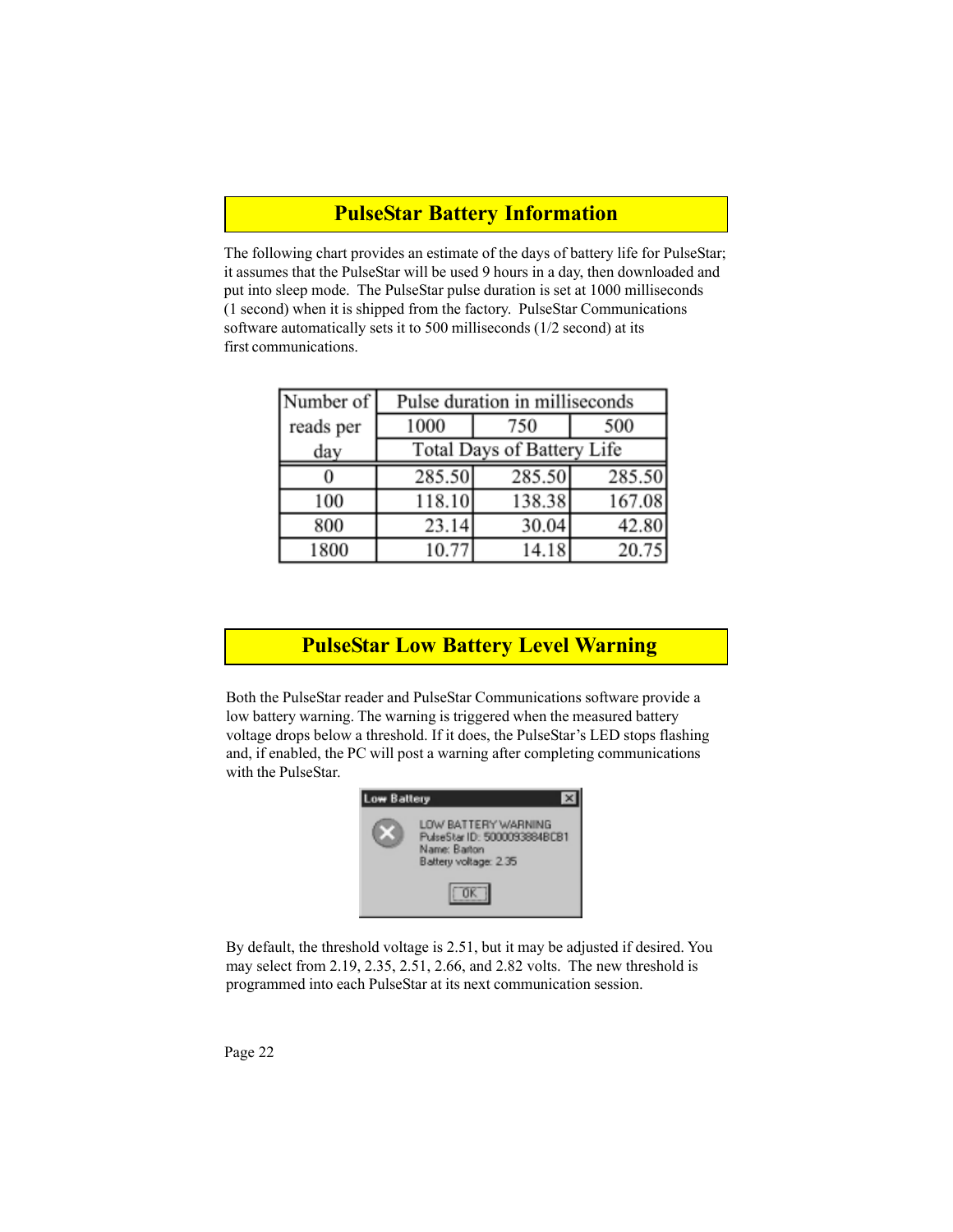### **PulseStar Battery Information**

The following chart provides an estimate of the days of battery life for PulseStar; it assumes that the PulseStar will be used 9 hours in a day, then downloaded and put into sleep mode. The PulseStar pulse duration is set at 1000 milliseconds (1 second) when it is shipped from the factory. PulseStar Communications software automatically sets it to 500 milliseconds (1/2 second) at its first communications.

| Number of |        | Pulse duration in milliseconds |        |
|-----------|--------|--------------------------------|--------|
| reads per | 1000   | 750                            | 500    |
| day       |        | Total Days of Battery Life     |        |
|           | 285.50 | 285.50                         | 285.50 |
| 100       | 118.10 | 138.38                         | 167.08 |
| 800       | 23.14  | 30.04                          | 42.80  |
| 1800      | 10.77  | 14.18                          | 20.75  |

# **PulseStar Low Battery Level Warning**

Both the PulseStar reader and PulseStar Communications software provide a low battery warning. The warning is triggered when the measured battery voltage drops below a threshold. If it does, the PulseStar's LED stops flashing and, if enabled, the PC will post a warning after completing communications with the PulseStar.



By default, the threshold voltage is 2.51, but it may be adjusted if desired. You may select from 2.19, 2.35, 2.51, 2.66, and 2.82 volts. The new threshold is programmed into each PulseStar at its next communication session.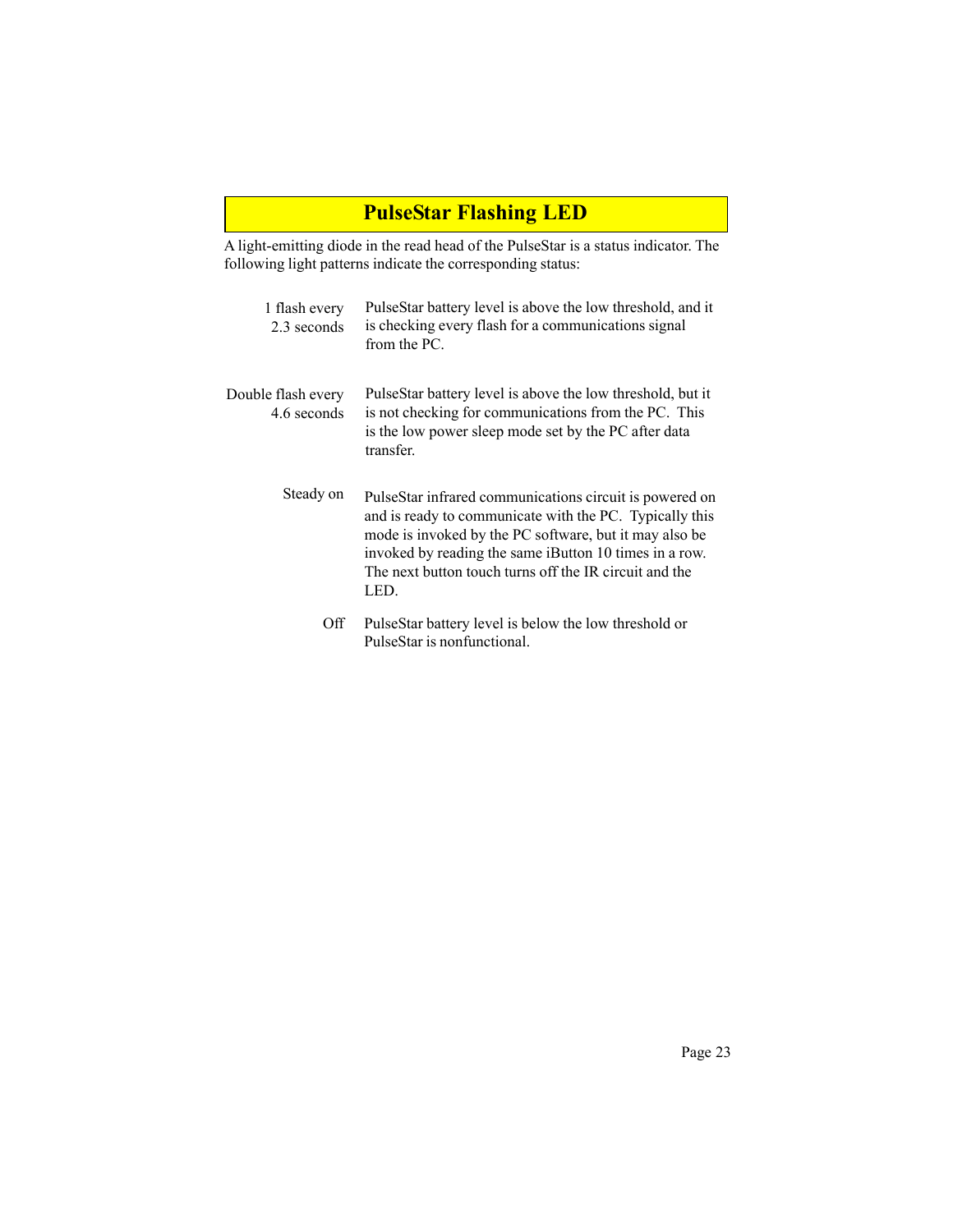# **PulseStar Flashing LED**

A light-emitting diode in the read head of the PulseStar is a status indicator. The following light patterns indicate the corresponding status:

| 1 flash every<br>2.3 seconds      | PulseStar battery level is above the low threshold, and it<br>is checking every flash for a communications signal<br>from the PC.                                                                                                                                                                        |
|-----------------------------------|----------------------------------------------------------------------------------------------------------------------------------------------------------------------------------------------------------------------------------------------------------------------------------------------------------|
| Double flash every<br>4.6 seconds | PulseStar battery level is above the low threshold, but it<br>is not checking for communications from the PC. This<br>is the low power sleep mode set by the PC after data<br>transfer.                                                                                                                  |
| Steady on                         | PulseStar infrared communications circuit is powered on<br>and is ready to communicate with the PC. Typically this<br>mode is invoked by the PC software, but it may also be<br>invoked by reading the same iButton 10 times in a row.<br>The next button touch turns off the IR circuit and the<br>LED. |
| Off                               | PulseStar battery level is below the low threshold or<br>PulseStar is nonfunctional.                                                                                                                                                                                                                     |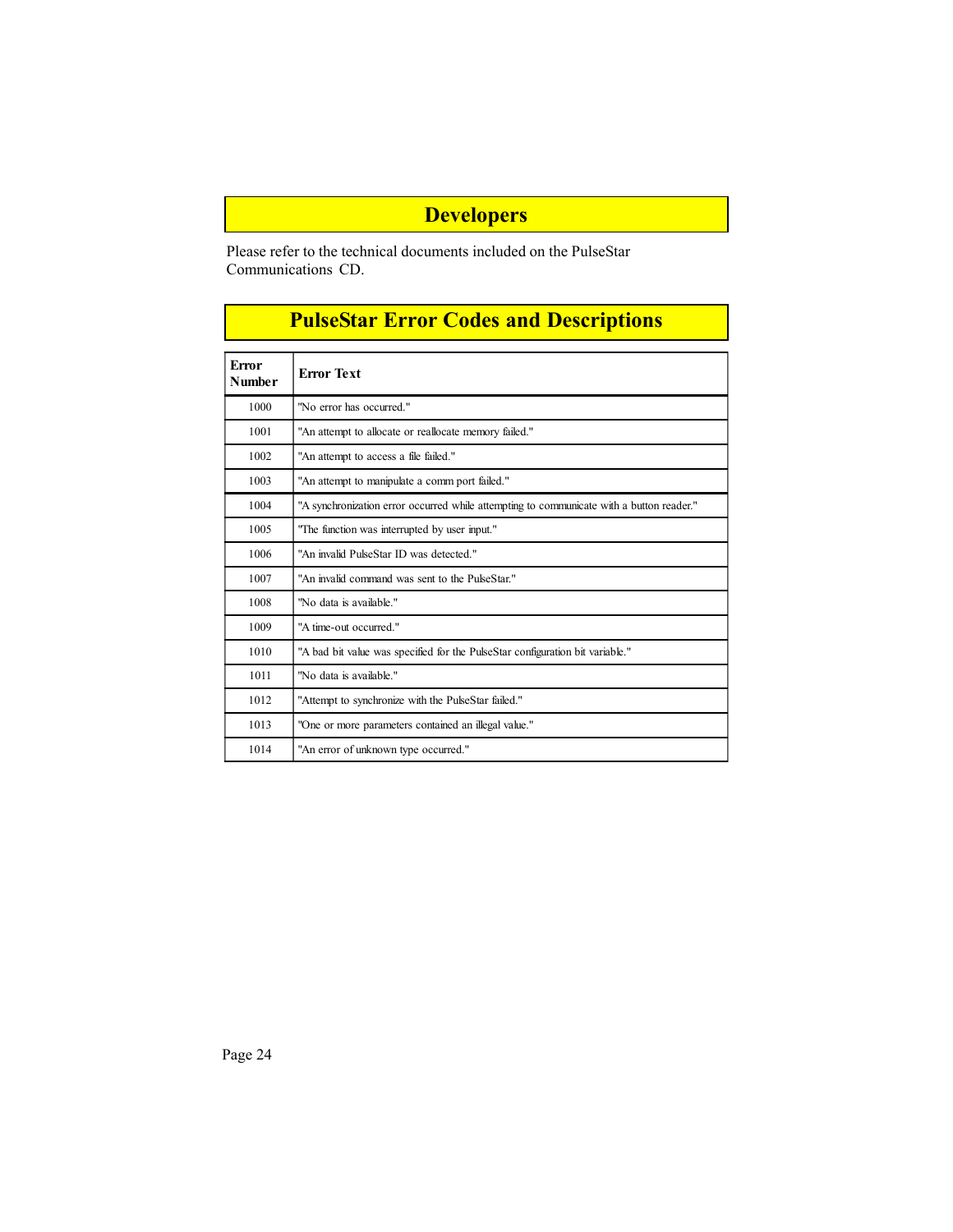# **Developers**

Please refer to the technical documents included on the PulseStar Communications CD.

| <b>PulseStar Error Codes and Descriptions</b> |
|-----------------------------------------------|
|                                               |
| <b>Error Text</b>                             |

| <b>Error</b><br><b>Number</b> | <b>Error Text</b>                                                                        |
|-------------------------------|------------------------------------------------------------------------------------------|
| 1000                          | "No error has occurred."                                                                 |
| 1001                          | "An attempt to allocate or reallocate memory failed."                                    |
| 1002                          | "An attempt to access a file failed."                                                    |
| 1003                          | "An attempt to manipulate a comm port failed."                                           |
| 1004                          | "A synchronization error occurred while attempting to communicate with a button reader." |
| 1005                          | "The function was interrupted by user input."                                            |
| 1006                          | "An invalid PulseStar ID was detected."                                                  |
| 1007                          | "An invalid command was sent to the PulseStar."                                          |
| 1008                          | "No data is available."                                                                  |
| 1009                          | "A time-out occurred."                                                                   |
| 1010                          | "A bad bit value was specified for the PulseStar configuration bit variable."            |
| 1011                          | "No data is available."                                                                  |
| 1012                          | "Attempt to synchronize with the PulseStar failed."                                      |
| 1013                          | "One or more parameters contained an illegal value."                                     |
| 1014                          | "An error of unknown type occurred."                                                     |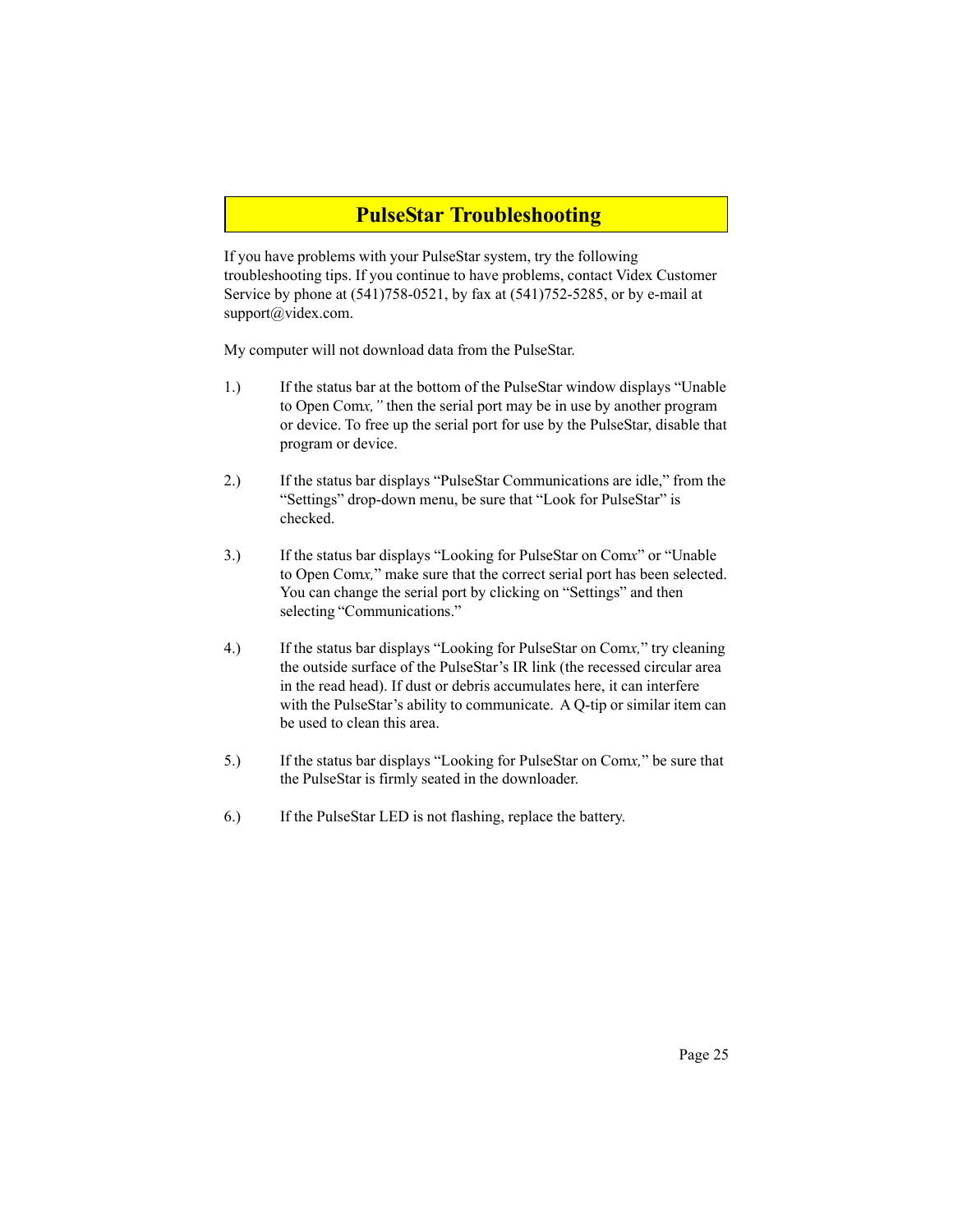### **PulseStar Troubleshooting**

If you have problems with your PulseStar system, try the following troubleshooting tips. If you continue to have problems, contact Videx Customer Service by phone at (541)758-0521, by fax at (541)752-5285, or by e-mail at support@videx.com.

My computer will not download data from the PulseStar.

- 1.) If the status bar at the bottom of the PulseStar window displays "Unable to Open Com*x,"* then the serial port may be in use by another program or device. To free up the serial port for use by the PulseStar, disable that program or device.
- 2.) If the status bar displays "PulseStar Communications are idle," from the "Settings" drop-down menu, be sure that "Look for PulseStar" is checked.
- 3.) If the status bar displays "Looking for PulseStar on Com*x*" or "Unable to Open Com*x,*" make sure that the correct serial port has been selected. You can change the serial port by clicking on "Settings" and then selecting "Communications."
- 4.) If the status bar displays "Looking for PulseStar on Com*x,*" try cleaning the outside surface of the PulseStar's IR link (the recessed circular area in the read head). If dust or debris accumulates here, it can interfere with the PulseStar's ability to communicate. A Q-tip or similar item can be used to clean this area.
- 5.) If the status bar displays "Looking for PulseStar on Com*x,*" be sure that the PulseStar is firmly seated in the downloader.
- 6.) If the PulseStar LED is not flashing, replace the battery.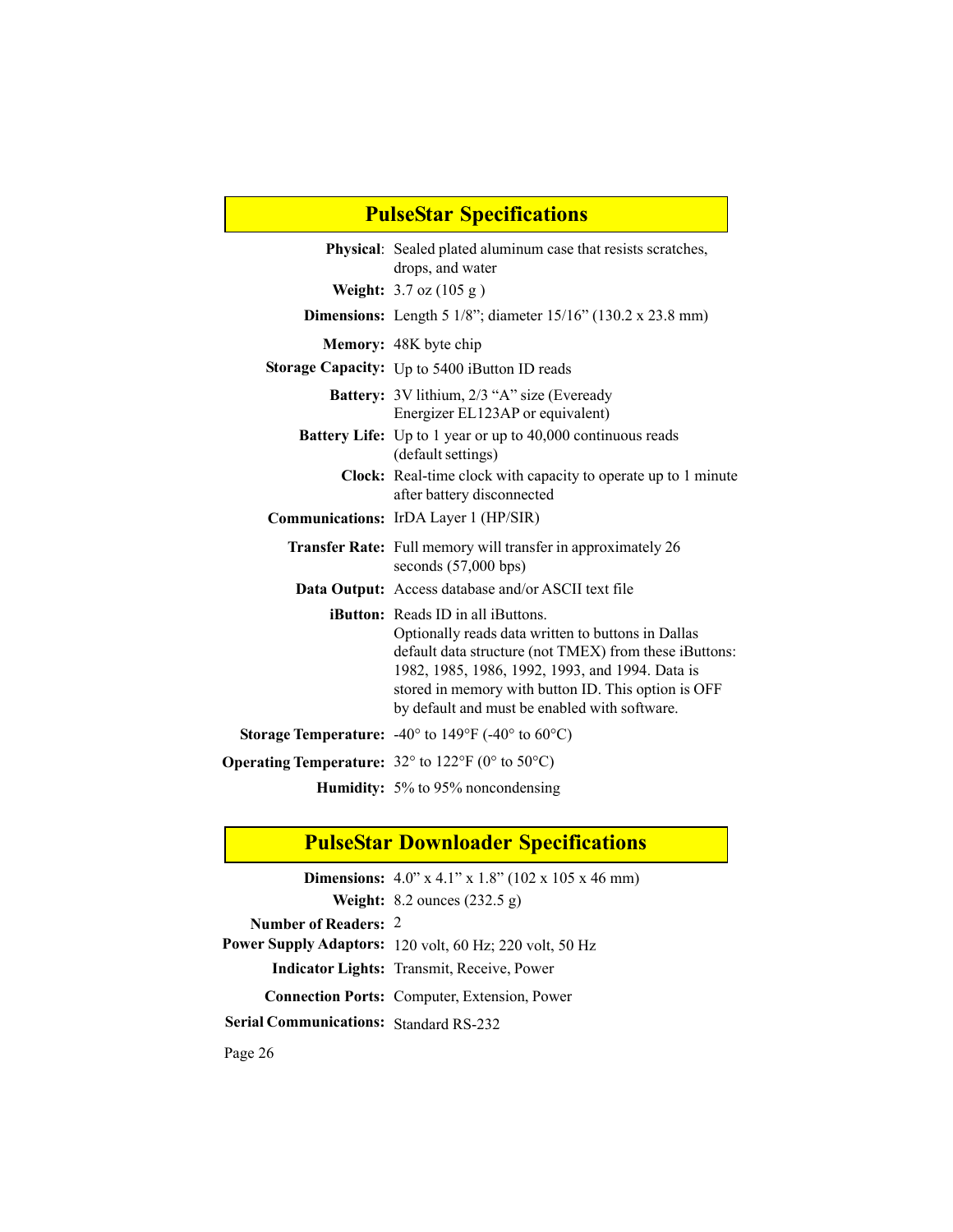| <b>PulseStar Specifications</b> |                                                                                                                                                                                                                                                                                                                      |  |  |  |
|---------------------------------|----------------------------------------------------------------------------------------------------------------------------------------------------------------------------------------------------------------------------------------------------------------------------------------------------------------------|--|--|--|
|                                 | <b>Physical:</b> Sealed plated aluminum case that resists scratches,<br>drops, and water                                                                                                                                                                                                                             |  |  |  |
|                                 | <b>Weight:</b> $3.7 \text{ oz} (105 \text{ g})$                                                                                                                                                                                                                                                                      |  |  |  |
|                                 | <b>Dimensions:</b> Length 5 $1/8$ "; diameter $15/16$ " (130.2 x 23.8 mm)                                                                                                                                                                                                                                            |  |  |  |
|                                 | Memory: 48K byte chip                                                                                                                                                                                                                                                                                                |  |  |  |
|                                 | Storage Capacity: Up to 5400 iButton ID reads                                                                                                                                                                                                                                                                        |  |  |  |
|                                 | <b>Battery:</b> 3V lithium, 2/3 "A" size (Eveready<br>Energizer EL123AP or equivalent)                                                                                                                                                                                                                               |  |  |  |
|                                 | <b>Battery Life:</b> Up to 1 year or up to 40,000 continuous reads<br>(default settings)                                                                                                                                                                                                                             |  |  |  |
|                                 | <b>Clock:</b> Real-time clock with capacity to operate up to 1 minute<br>after battery disconnected                                                                                                                                                                                                                  |  |  |  |
|                                 | <b>Communications:</b> IrDA Layer 1 (HP/SIR)                                                                                                                                                                                                                                                                         |  |  |  |
|                                 | <b>Transfer Rate:</b> Full memory will transfer in approximately 26<br>seconds $(57,000$ bps)                                                                                                                                                                                                                        |  |  |  |
|                                 | Data Output: Access database and/or ASCII text file                                                                                                                                                                                                                                                                  |  |  |  |
|                                 | <b>iButton:</b> Reads ID in all iButtons.<br>Optionally reads data written to buttons in Dallas<br>default data structure (not TMEX) from these iButtons:<br>1982, 1985, 1986, 1992, 1993, and 1994. Data is<br>stored in memory with button ID. This option is OFF<br>by default and must be enabled with software. |  |  |  |
|                                 | <b>Storage Temperature:</b> $-40^{\circ}$ to 149°F ( $-40^{\circ}$ to 60°C)                                                                                                                                                                                                                                          |  |  |  |
|                                 | <b>Operating Temperature:</b> $32^{\circ}$ to $122^{\circ}$ F (0° to $50^{\circ}$ C)                                                                                                                                                                                                                                 |  |  |  |
|                                 | <b>Humidity:</b> 5% to 95% noncondensing                                                                                                                                                                                                                                                                             |  |  |  |

٦

# **PulseStar Downloader Specifications**

|                                               | <b>Dimensions:</b> $4.0$ " x $4.1$ " x $1.8$ " (102 x 105 x 46 mm) |
|-----------------------------------------------|--------------------------------------------------------------------|
|                                               | <b>Weight:</b> 8.2 ounces $(232.5 \text{ g})$                      |
| <b>Number of Readers: 2</b>                   |                                                                    |
|                                               | Power Supply Adaptors: 120 volt, 60 Hz; 220 volt, 50 Hz            |
|                                               | <b>Indicator Lights:</b> Transmit, Receive, Power                  |
|                                               | <b>Connection Ports:</b> Computer, Extension, Power                |
| <b>Serial Communications: Standard RS-232</b> |                                                                    |
|                                               |                                                                    |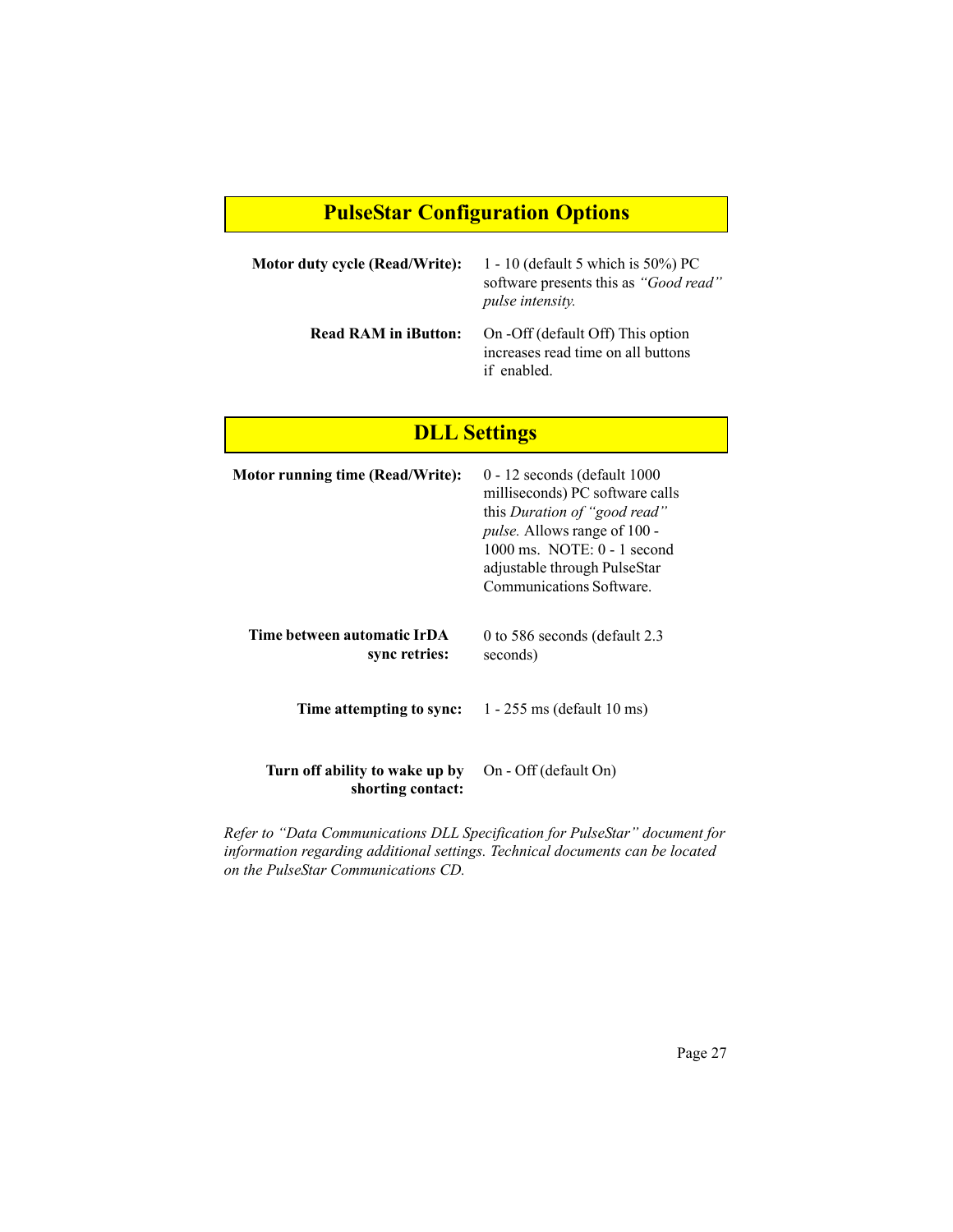# **PulseStar Configuration Options**

| Motor duty cycle (Read/Write): | 1 - 10 (default 5 which is $50\%$ ) PC<br>software presents this as "Good read"<br><i>pulse intensity.</i> |
|--------------------------------|------------------------------------------------------------------------------------------------------------|
| <b>Read RAM in iButton:</b>    | On -Off (default Off) This option<br>increases read time on all buttons<br>if enabled.                     |

# **DLL Settings**

| Motor running time (Read/Write):                    | $0 - 12$ seconds (default 1000<br>milliseconds) PC software calls<br>this Duration of "good read"<br><i>pulse.</i> Allows range of 100 -<br>$1000 \text{ ms}$ . NOTE: $0 - 1 \text{ second}$<br>adjustable through PulseStar<br><b>Communications Software</b> |
|-----------------------------------------------------|----------------------------------------------------------------------------------------------------------------------------------------------------------------------------------------------------------------------------------------------------------------|
| Time between automatic IrDA<br>sync retries:        | 0 to 586 seconds (default 2.3<br>seconds)                                                                                                                                                                                                                      |
| Time attempting to sync:                            | $1 - 255$ ms (default 10 ms)                                                                                                                                                                                                                                   |
| Turn off ability to wake up by<br>shorting contact: | On - Off (default On)                                                                                                                                                                                                                                          |

*Refer to "Data Communications DLL Specification for PulseStar" document for information regarding additional settings. Technical documents can be located on the PulseStar Communications CD.*